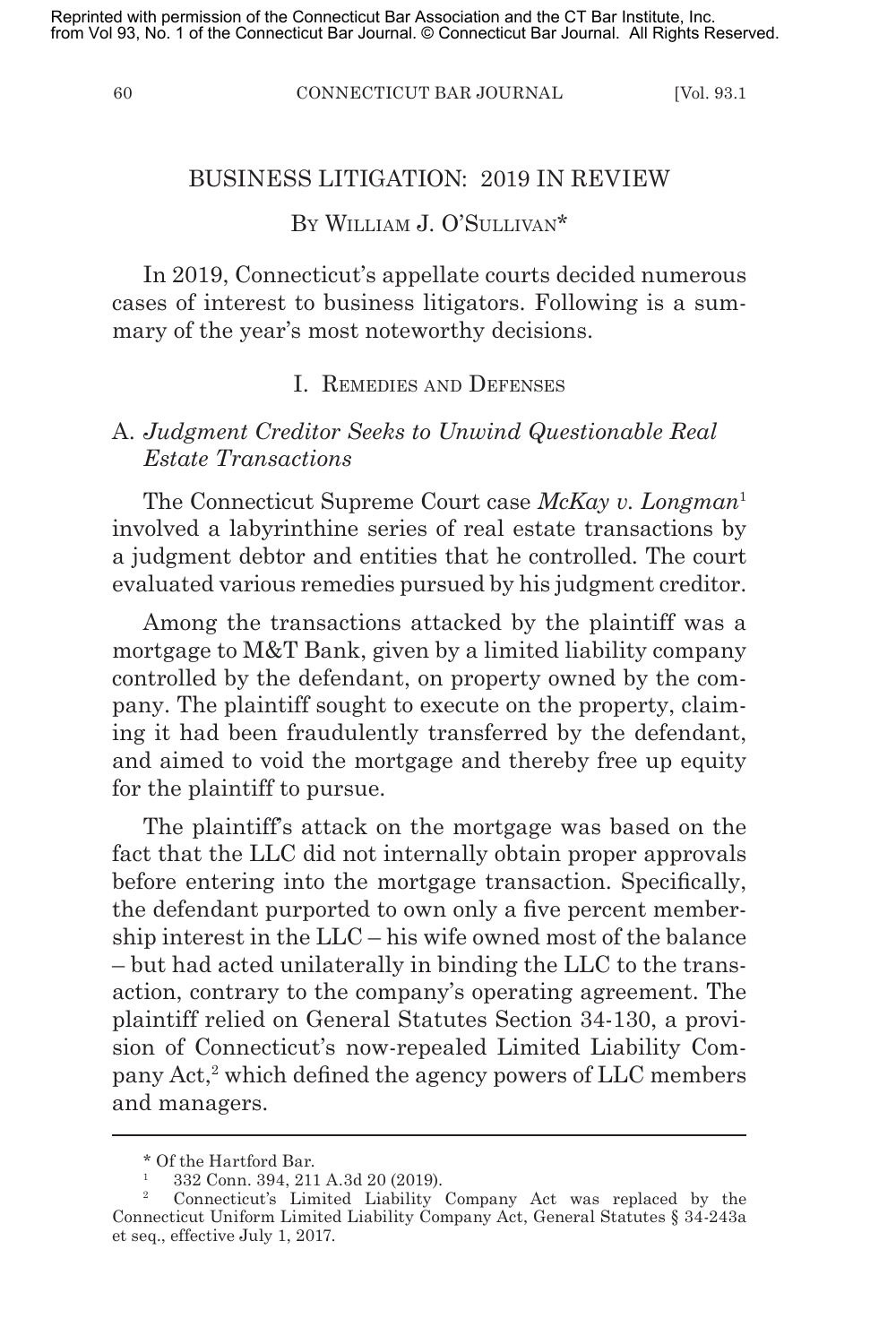60 CONNECTICUT BAR JOURNAL [Vol. 93.1

#### BUSINESS LITIGATION: 2019 IN REVIEW

# By William J. O'Sullivan\*

In 2019, Connecticut's appellate courts decided numerous cases of interest to business litigators. Following is a summary of the year's most noteworthy decisions.

### I. Remedies and Defenses

# A. *Judgment Creditor Seeks to Unwind Questionable Real Estate Transactions*

The Connecticut Supreme Court case *McKay v. Longman*<sup>1</sup> involved a labyrinthine series of real estate transactions by a judgment debtor and entities that he controlled. The court evaluated various remedies pursued by his judgment creditor.

Among the transactions attacked by the plaintiff was a mortgage to M&T Bank, given by a limited liability company controlled by the defendant, on property owned by the company. The plaintiff sought to execute on the property, claiming it had been fraudulently transferred by the defendant, and aimed to void the mortgage and thereby free up equity for the plaintiff to pursue.

The plaintiff's attack on the mortgage was based on the fact that the LLC did not internally obtain proper approvals before entering into the mortgage transaction. Specifically, the defendant purported to own only a five percent membership interest in the LLC – his wife owned most of the balance – but had acted unilaterally in binding the LLC to the transaction, contrary to the company's operating agreement. The plaintiff relied on General Statutes Section 34-130, a provision of Connecticut's now-repealed Limited Liability Company Act,<sup>2</sup> which defined the agency powers of LLC members and managers.

<sup>\*</sup> Of the Hartford Bar.

<sup>&</sup>lt;sup>1</sup> 332 Conn. 394, 211 A.3d 20 (2019).

<sup>2</sup> Connecticut's Limited Liability Company Act was replaced by the Connecticut Uniform Limited Liability Company Act, General Statutes § 34-243a et seq., effective July 1, 2017.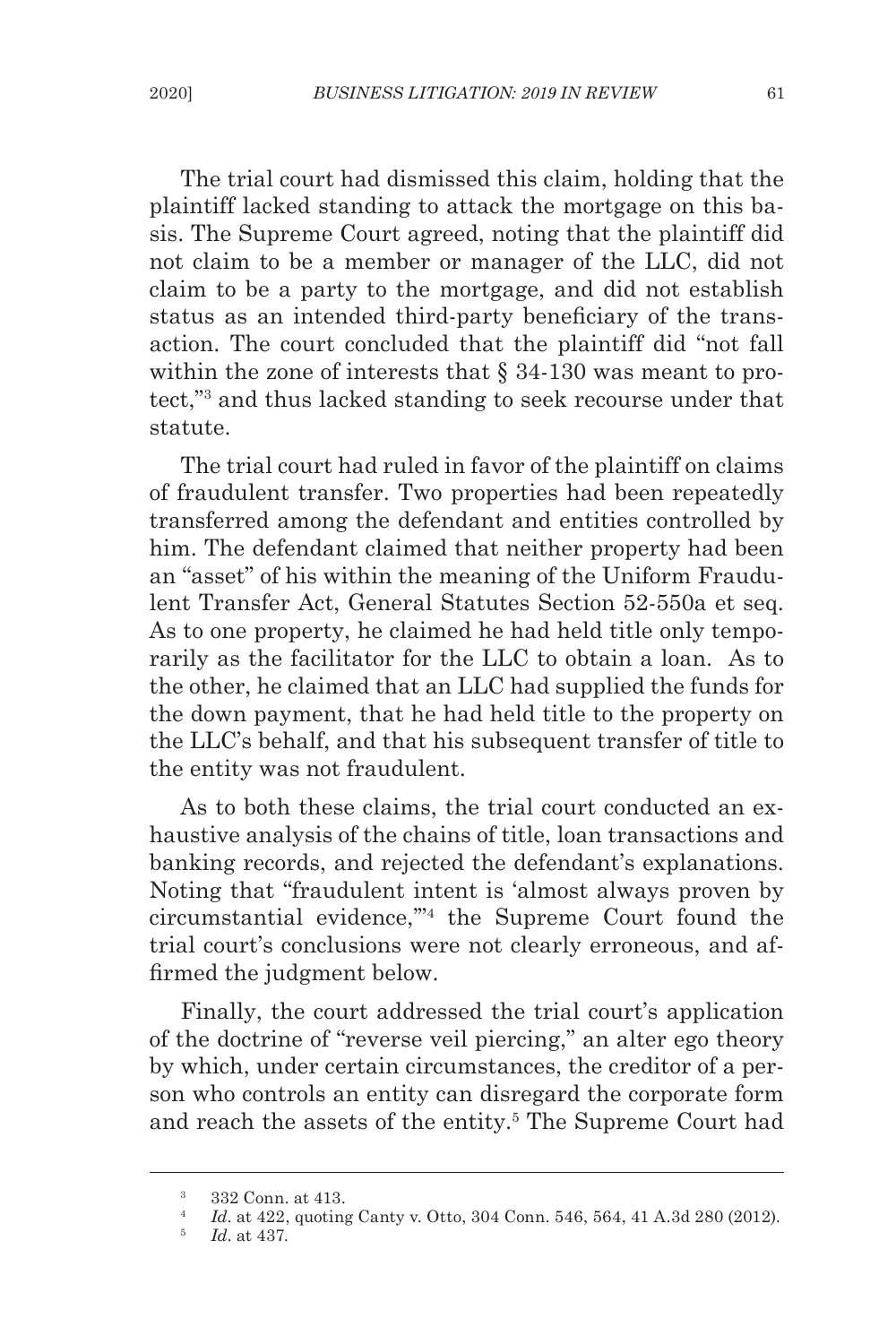The trial court had dismissed this claim, holding that the plaintiff lacked standing to attack the mortgage on this basis. The Supreme Court agreed, noting that the plaintiff did not claim to be a member or manager of the LLC, did not claim to be a party to the mortgage, and did not establish status as an intended third-party beneficiary of the transaction. The court concluded that the plaintiff did "not fall within the zone of interests that  $\S 34-130$  was meant to protect,"<sup>3</sup> and thus lacked standing to seek recourse under that statute.

The trial court had ruled in favor of the plaintiff on claims of fraudulent transfer. Two properties had been repeatedly transferred among the defendant and entities controlled by him. The defendant claimed that neither property had been an "asset" of his within the meaning of the Uniform Fraudulent Transfer Act, General Statutes Section 52-550a et seq. As to one property, he claimed he had held title only temporarily as the facilitator for the LLC to obtain a loan. As to the other, he claimed that an LLC had supplied the funds for the down payment, that he had held title to the property on the LLC's behalf, and that his subsequent transfer of title to the entity was not fraudulent.

As to both these claims, the trial court conducted an exhaustive analysis of the chains of title, loan transactions and banking records, and rejected the defendant's explanations. Noting that "fraudulent intent is 'almost always proven by circumstantial evidence,'"4 the Supreme Court found the trial court's conclusions were not clearly erroneous, and affirmed the judgment below.

Finally, the court addressed the trial court's application of the doctrine of "reverse veil piercing," an alter ego theory by which, under certain circumstances, the creditor of a person who controls an entity can disregard the corporate form and reach the assets of the entity.<sup>5</sup> The Supreme Court had

 $\frac{3}{4}$  332 Conn. at 413.

<sup>4</sup> *Id*. at 422, quoting Canty v. Otto, 304 Conn. 546, 564, 41 A.3d 280 (2012).

<sup>5</sup> *Id*. at 437.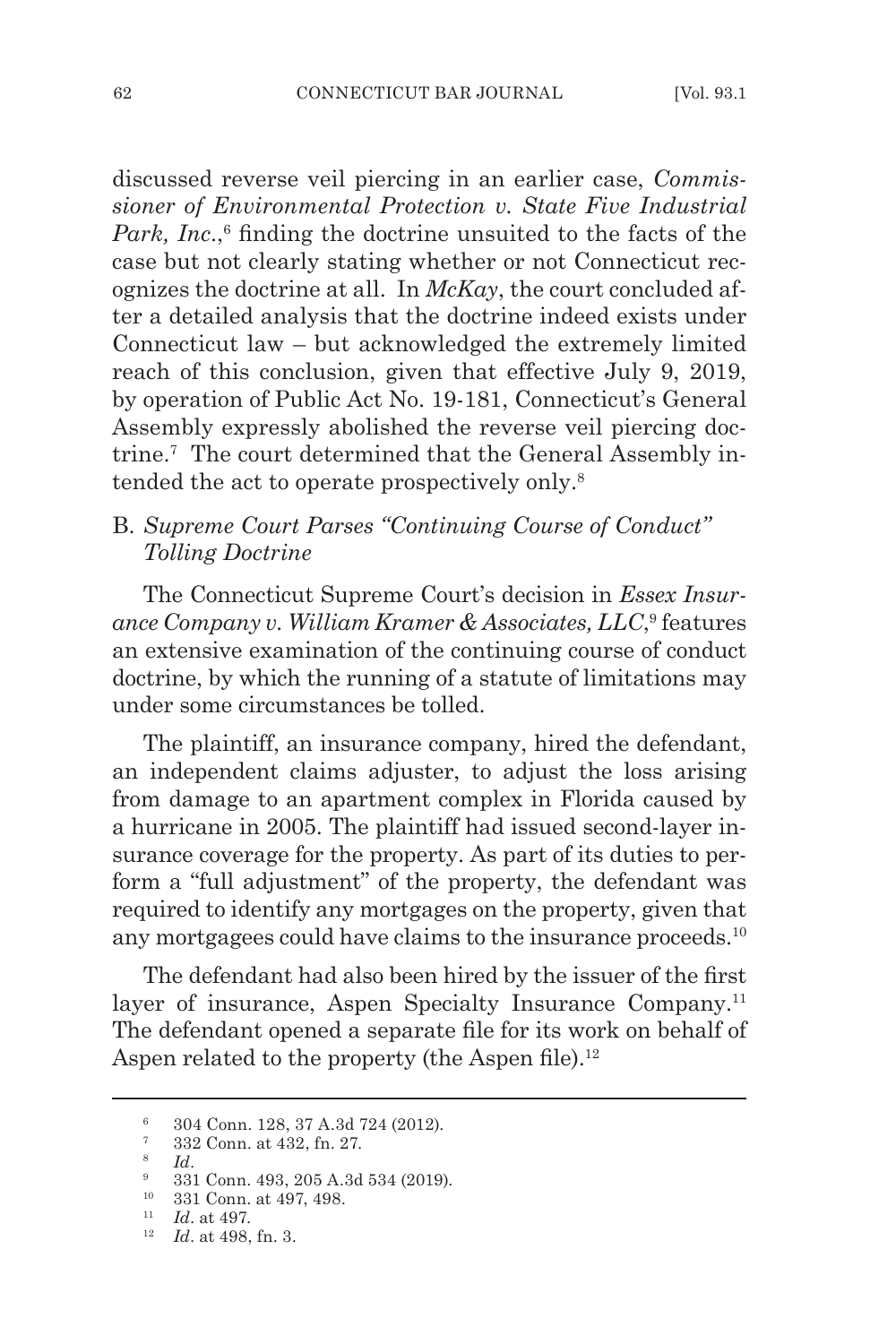discussed reverse veil piercing in an earlier case, *Commissioner of Environmental Protection v. State Five Industrial*  Park, Inc.,<sup>6</sup> finding the doctrine unsuited to the facts of the case but not clearly stating whether or not Connecticut recognizes the doctrine at all. In *McKay*, the court concluded after a detailed analysis that the doctrine indeed exists under Connecticut law – but acknowledged the extremely limited reach of this conclusion, given that effective July 9, 2019, by operation of Public Act No. 19-181, Connecticut's General Assembly expressly abolished the reverse veil piercing doctrine.<sup>7</sup> The court determined that the General Assembly intended the act to operate prospectively only.8

# B. *Supreme Court Parses "Continuing Course of Conduct" Tolling Doctrine*

The Connecticut Supreme Court's decision in *Essex Insurance Company v. William Kramer & Associates, LLC*, 9 features an extensive examination of the continuing course of conduct doctrine, by which the running of a statute of limitations may under some circumstances be tolled.

The plaintiff, an insurance company, hired the defendant, an independent claims adjuster, to adjust the loss arising from damage to an apartment complex in Florida caused by a hurricane in 2005. The plaintiff had issued second-layer insurance coverage for the property. As part of its duties to perform a "full adjustment" of the property, the defendant was required to identify any mortgages on the property, given that any mortgagees could have claims to the insurance proceeds.<sup>10</sup>

The defendant had also been hired by the issuer of the first layer of insurance, Aspen Specialty Insurance Company.<sup>11</sup> The defendant opened a separate file for its work on behalf of Aspen related to the property (the Aspen file).<sup>12</sup>

<sup>6</sup> 304 Conn. 128, 37 A.3d 724 (2012).

 $\frac{7}{8}$  332 Conn. at 432, fn. 27.<br>b  $Id$ .

<sup>&</sup>lt;sup>9</sup> 331 Conn. 493, 205 A.3d 534 (2019).

<sup>10</sup> 331 Conn. at 497, 498.

<sup>11</sup> *Id*. at 497.

<sup>12</sup> *Id*. at 498, fn. 3.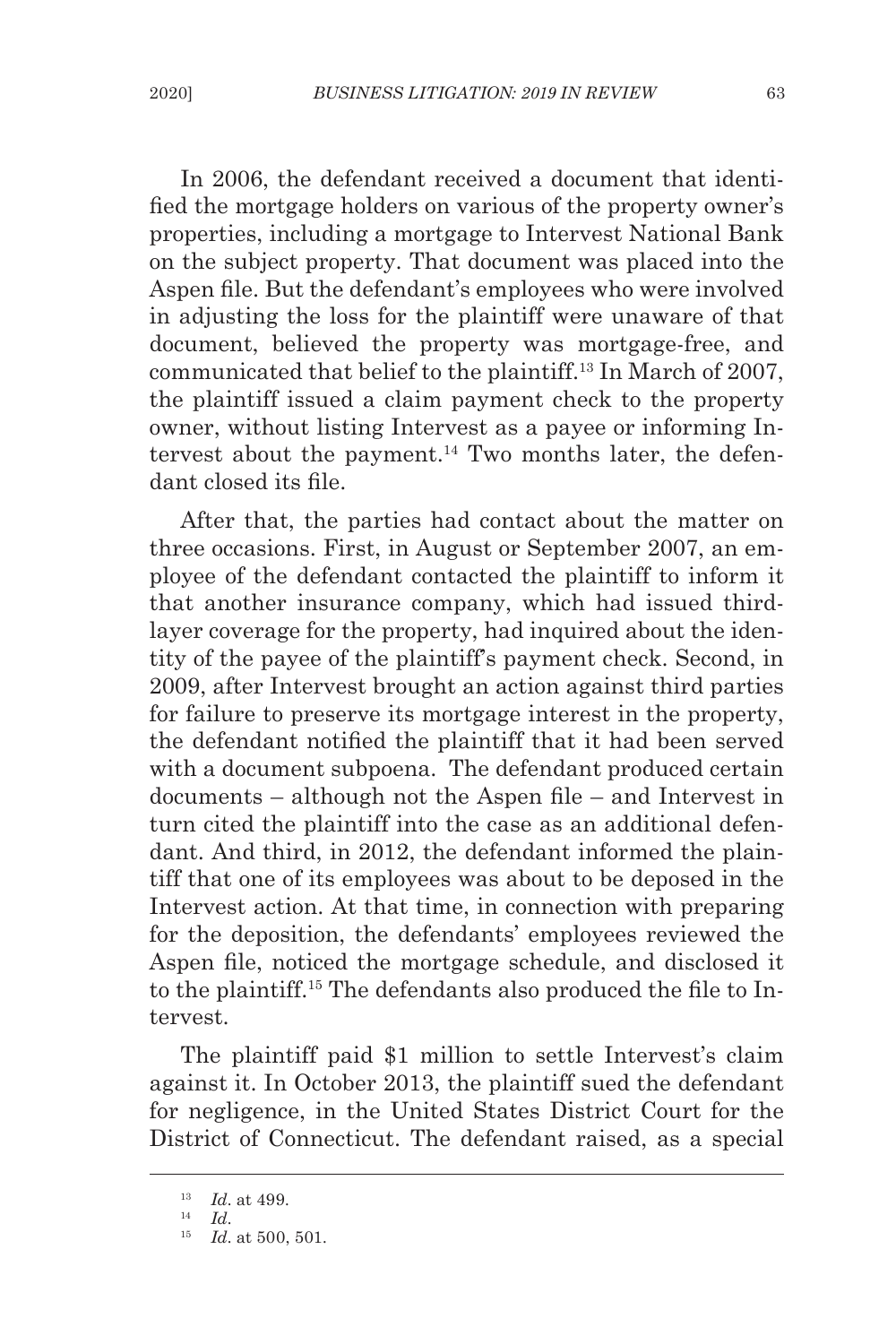In 2006, the defendant received a document that identified the mortgage holders on various of the property owner's properties, including a mortgage to Intervest National Bank on the subject property. That document was placed into the Aspen file. But the defendant's employees who were involved in adjusting the loss for the plaintiff were unaware of that document, believed the property was mortgage-free, and communicated that belief to the plaintiff.<sup>13</sup> In March of 2007, the plaintiff issued a claim payment check to the property owner, without listing Intervest as a payee or informing Intervest about the payment.<sup>14</sup> Two months later, the defendant closed its file.

After that, the parties had contact about the matter on three occasions. First, in August or September 2007, an employee of the defendant contacted the plaintiff to inform it that another insurance company, which had issued thirdlayer coverage for the property, had inquired about the identity of the payee of the plaintiff's payment check. Second, in 2009, after Intervest brought an action against third parties for failure to preserve its mortgage interest in the property, the defendant notified the plaintiff that it had been served with a document subpoena. The defendant produced certain documents – although not the Aspen file – and Intervest in turn cited the plaintiff into the case as an additional defendant. And third, in 2012, the defendant informed the plaintiff that one of its employees was about to be deposed in the Intervest action. At that time, in connection with preparing for the deposition, the defendants' employees reviewed the Aspen file, noticed the mortgage schedule, and disclosed it to the plaintiff.15 The defendants also produced the file to Intervest.

The plaintiff paid \$1 million to settle Intervest's claim against it. In October 2013, the plaintiff sued the defendant for negligence, in the United States District Court for the District of Connecticut. The defendant raised, as a special

<sup>13</sup> *Id*. at 499.

 $14$  *Id.* 

<sup>15</sup> *Id*. at 500, 501.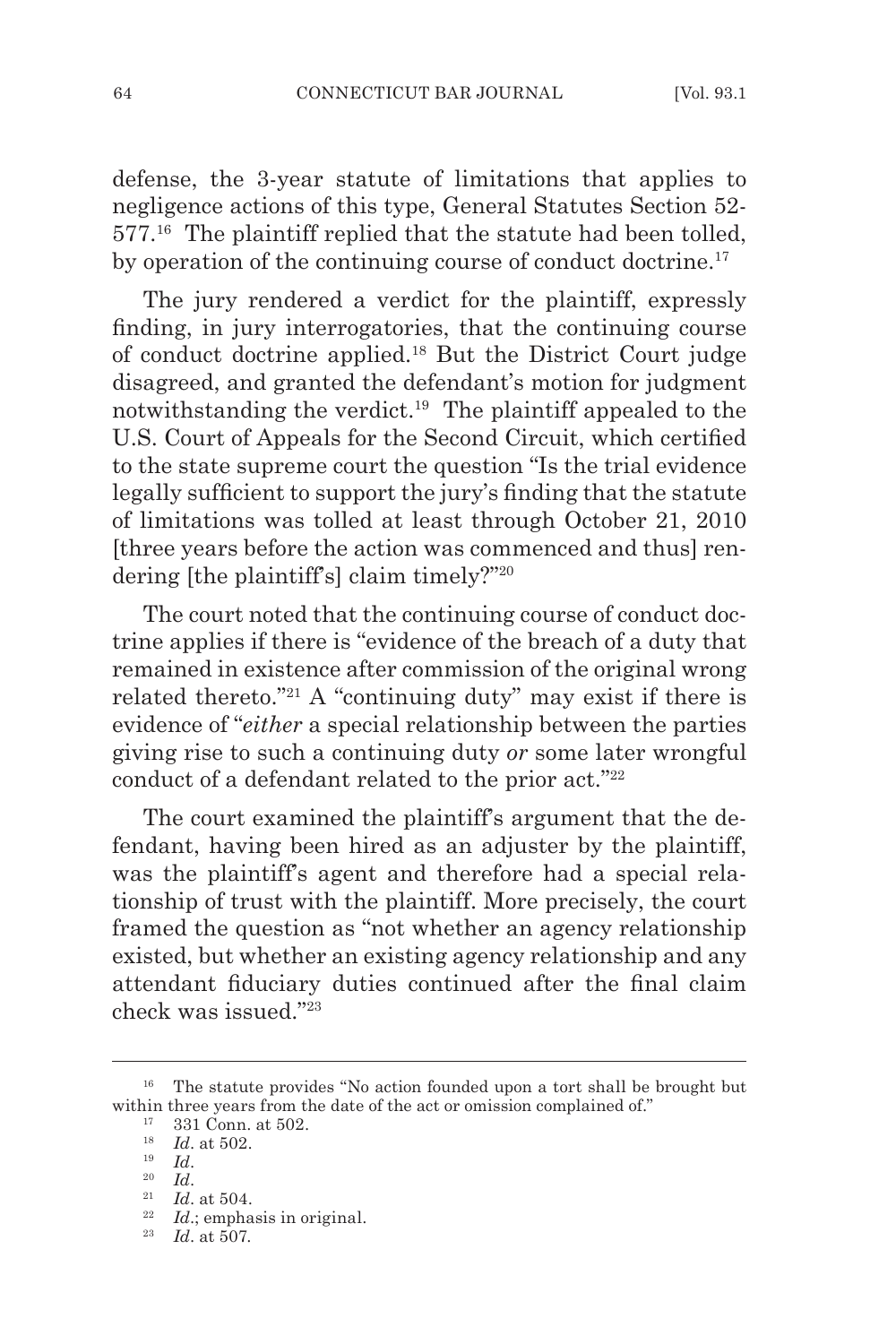defense, the 3-year statute of limitations that applies to negligence actions of this type, General Statutes Section 52- 577.16 The plaintiff replied that the statute had been tolled, by operation of the continuing course of conduct doctrine.<sup>17</sup>

The jury rendered a verdict for the plaintiff, expressly finding, in jury interrogatories, that the continuing course of conduct doctrine applied.18 But the District Court judge disagreed, and granted the defendant's motion for judgment notwithstanding the verdict.19 The plaintiff appealed to the U.S. Court of Appeals for the Second Circuit, which certified to the state supreme court the question "Is the trial evidence legally sufficient to support the jury's finding that the statute of limitations was tolled at least through October 21, 2010 [three years before the action was commenced and thus] rendering [the plaintiff's] claim timely?"<sup>20</sup>

The court noted that the continuing course of conduct doctrine applies if there is "evidence of the breach of a duty that remained in existence after commission of the original wrong related thereto."<sup>21</sup> A "continuing duty" may exist if there is evidence of "*either* a special relationship between the parties giving rise to such a continuing duty *or* some later wrongful conduct of a defendant related to the prior act."<sup>22</sup>

The court examined the plaintiff's argument that the defendant, having been hired as an adjuster by the plaintiff, was the plaintiff's agent and therefore had a special relationship of trust with the plaintiff. More precisely, the court framed the question as "not whether an agency relationship existed, but whether an existing agency relationship and any attendant fiduciary duties continued after the final claim check was issued."<sup>23</sup>

- <sup>20</sup> *Id*.
- <sup>21</sup> *Id.* at 504.

<sup>&</sup>lt;sup>16</sup> The statute provides "No action founded upon a tort shall be brought but within three years from the date of the act or omission complained of."

<sup>17</sup> 331 Conn. at 502. 18 *Id*. at 502.

<sup>19</sup> *Id*.

*Id.*; emphasis in original.

<sup>23</sup> *Id*. at 507.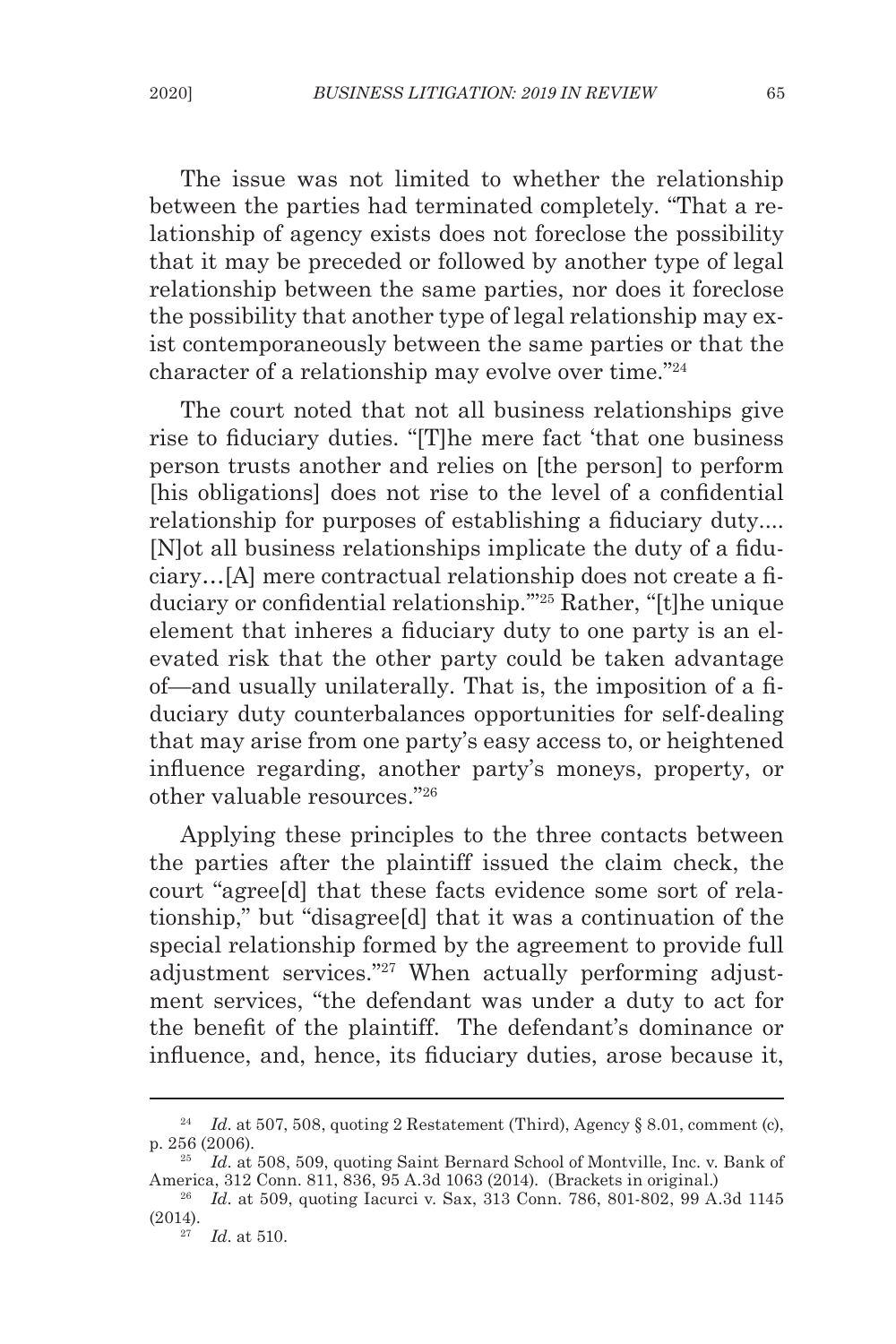The issue was not limited to whether the relationship between the parties had terminated completely. "That a relationship of agency exists does not foreclose the possibility that it may be preceded or followed by another type of legal relationship between the same parties, nor does it foreclose the possibility that another type of legal relationship may exist contemporaneously between the same parties or that the character of a relationship may evolve over time."24

The court noted that not all business relationships give rise to fiduciary duties. "[T]he mere fact 'that one business person trusts another and relies on [the person] to perform [his obligations] does not rise to the level of a confidential relationship for purposes of establishing a fiduciary duty.... [N]ot all business relationships implicate the duty of a fiduciary…[A] mere contractual relationship does not create a fiduciary or confidential relationship.'"25 Rather, "[t]he unique element that inheres a fiduciary duty to one party is an elevated risk that the other party could be taken advantage of—and usually unilaterally. That is, the imposition of a fiduciary duty counterbalances opportunities for self-dealing that may arise from one party's easy access to, or heightened influence regarding, another party's moneys, property, or other valuable resources."26

Applying these principles to the three contacts between the parties after the plaintiff issued the claim check, the court "agree[d] that these facts evidence some sort of relationship," but "disagree[d] that it was a continuation of the special relationship formed by the agreement to provide full adjustment services."27 When actually performing adjustment services, "the defendant was under a duty to act for the benefit of the plaintiff. The defendant's dominance or influence, and, hence, its fiduciary duties, arose because it,

<sup>&</sup>lt;sup>24</sup> *Id.* at 507, 508, quoting 2 Restatement (Third), Agency § 8.01, comment (c), p. 256 (2006).

<sup>25</sup> *Id*. at 508, 509, quoting Saint Bernard School of Montville, Inc. v. Bank of America, 312 Conn. 811, 836, 95 A.3d 1063 (2014). (Brackets in original.)

<sup>&</sup>lt;sup>26</sup> *Id.* at 509, quoting Iacurci v. Sax, 313 Conn. 786, 801-802, 99 A.3d 1145 (2014).

<sup>27</sup> *Id*. at 510.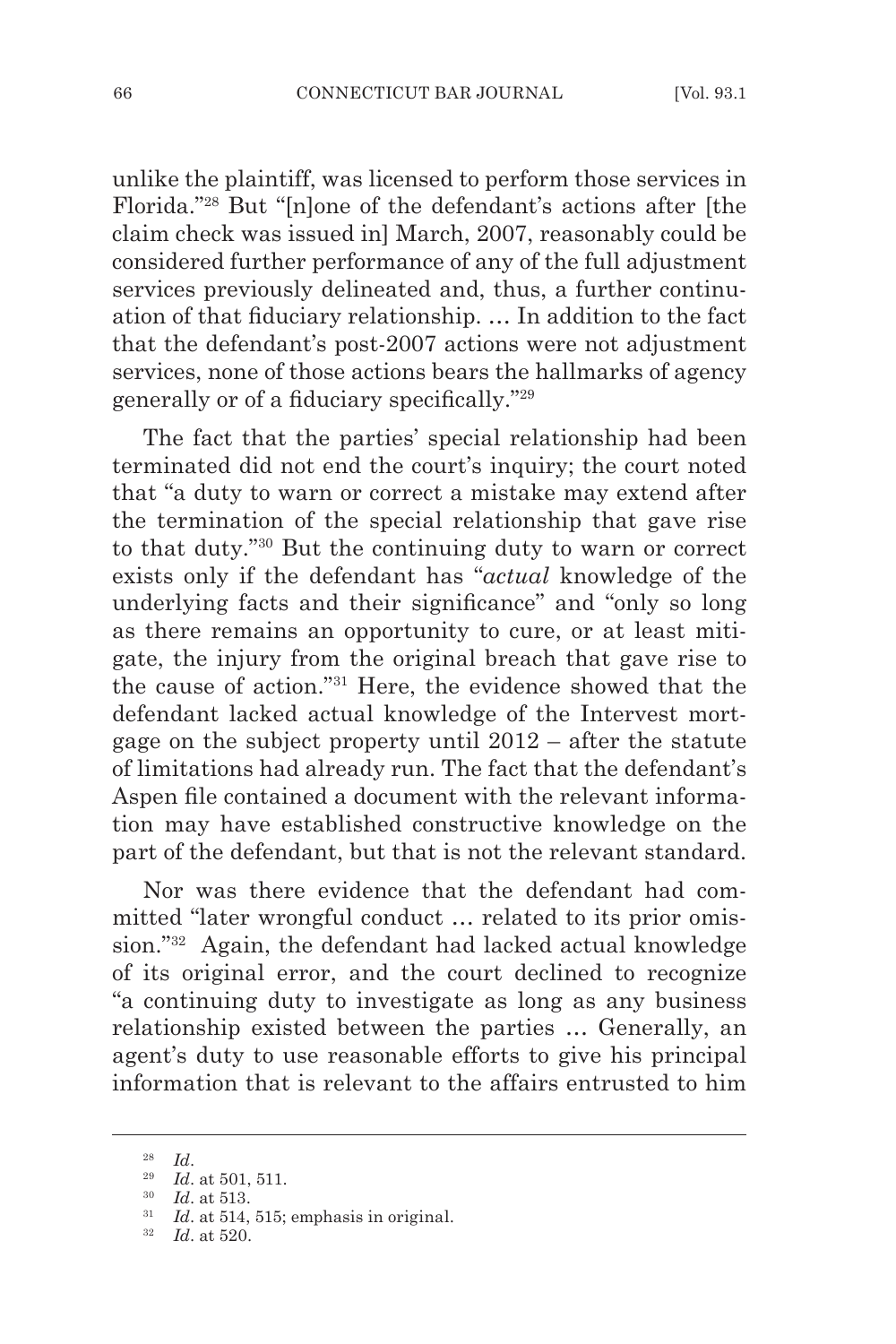unlike the plaintiff, was licensed to perform those services in Florida."28 But "[n]one of the defendant's actions after [the claim check was issued in] March, 2007, reasonably could be considered further performance of any of the full adjustment services previously delineated and, thus, a further continuation of that fiduciary relationship. … In addition to the fact that the defendant's post-2007 actions were not adjustment services, none of those actions bears the hallmarks of agency generally or of a fiduciary specifically."<sup>29</sup>

The fact that the parties' special relationship had been terminated did not end the court's inquiry; the court noted that "a duty to warn or correct a mistake may extend after the termination of the special relationship that gave rise to that duty."30 But the continuing duty to warn or correct exists only if the defendant has "*actual* knowledge of the underlying facts and their significance" and "only so long as there remains an opportunity to cure, or at least mitigate, the injury from the original breach that gave rise to the cause of action."<sup>31</sup> Here, the evidence showed that the defendant lacked actual knowledge of the Intervest mortgage on the subject property until 2012 – after the statute of limitations had already run. The fact that the defendant's Aspen file contained a document with the relevant information may have established constructive knowledge on the part of the defendant, but that is not the relevant standard.

Nor was there evidence that the defendant had committed "later wrongful conduct … related to its prior omission."<sup>32</sup> Again, the defendant had lacked actual knowledge of its original error, and the court declined to recognize "a continuing duty to investigate as long as any business relationship existed between the parties … Generally, an agent's duty to use reasonable efforts to give his principal information that is relevant to the affairs entrusted to him

<sup>28</sup> *Id*.

<sup>29</sup> *Id*. at 501, 511.

<sup>30</sup> *Id*. at 513.

<sup>&</sup>lt;sup>31</sup> *Id.* at 514, 515; emphasis in original.

<sup>32</sup> *Id*. at 520.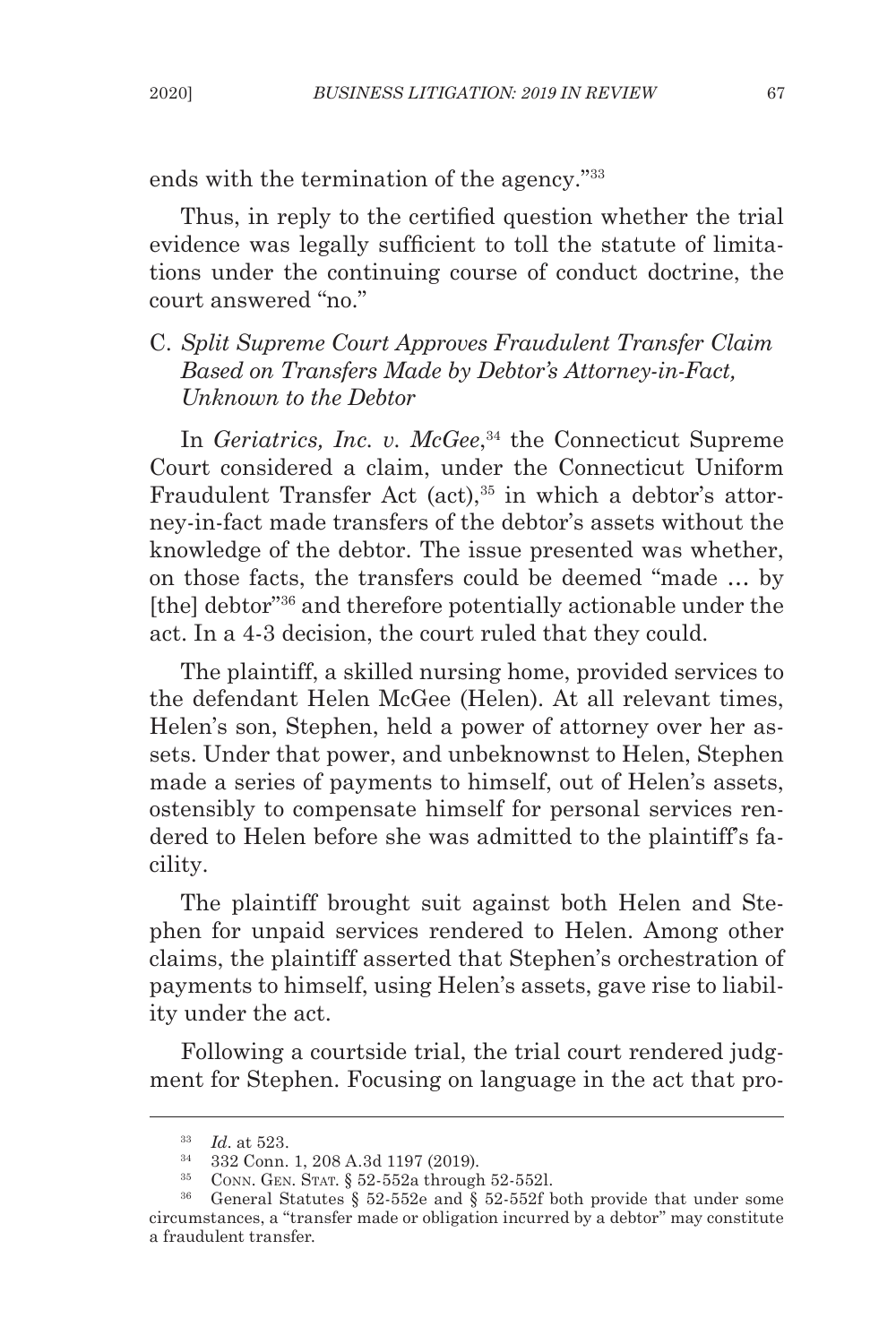ends with the termination of the agency."<sup>33</sup>

Thus, in reply to the certified question whether the trial evidence was legally sufficient to toll the statute of limitations under the continuing course of conduct doctrine, the court answered "no."

# C. *Split Supreme Court Approves Fraudulent Transfer Claim Based on Transfers Made by Debtor's Attorney-in-Fact, Unknown to the Debtor*

In *Geriatrics, Inc. v. McGee*, <sup>34</sup> the Connecticut Supreme Court considered a claim, under the Connecticut Uniform Fraudulent Transfer Act (act),<sup>35</sup> in which a debtor's attorney-in-fact made transfers of the debtor's assets without the knowledge of the debtor. The issue presented was whether, on those facts, the transfers could be deemed "made … by [the] debtor"36 and therefore potentially actionable under the act. In a 4-3 decision, the court ruled that they could.

The plaintiff, a skilled nursing home, provided services to the defendant Helen McGee (Helen). At all relevant times, Helen's son, Stephen, held a power of attorney over her assets. Under that power, and unbeknownst to Helen, Stephen made a series of payments to himself, out of Helen's assets, ostensibly to compensate himself for personal services rendered to Helen before she was admitted to the plaintiff's facility.

The plaintiff brought suit against both Helen and Stephen for unpaid services rendered to Helen. Among other claims, the plaintiff asserted that Stephen's orchestration of payments to himself, using Helen's assets, gave rise to liability under the act.

Following a courtside trial, the trial court rendered judgment for Stephen. Focusing on language in the act that pro-

<sup>33</sup> *Id*. at 523.

 $35$  CONN. GEN. STAT. § 52-552a through 52-552l.

<sup>36</sup> General Statutes § 52-552e and § 52-552f both provide that under some circumstances, a "transfer made or obligation incurred by a debtor" may constitute a fraudulent transfer.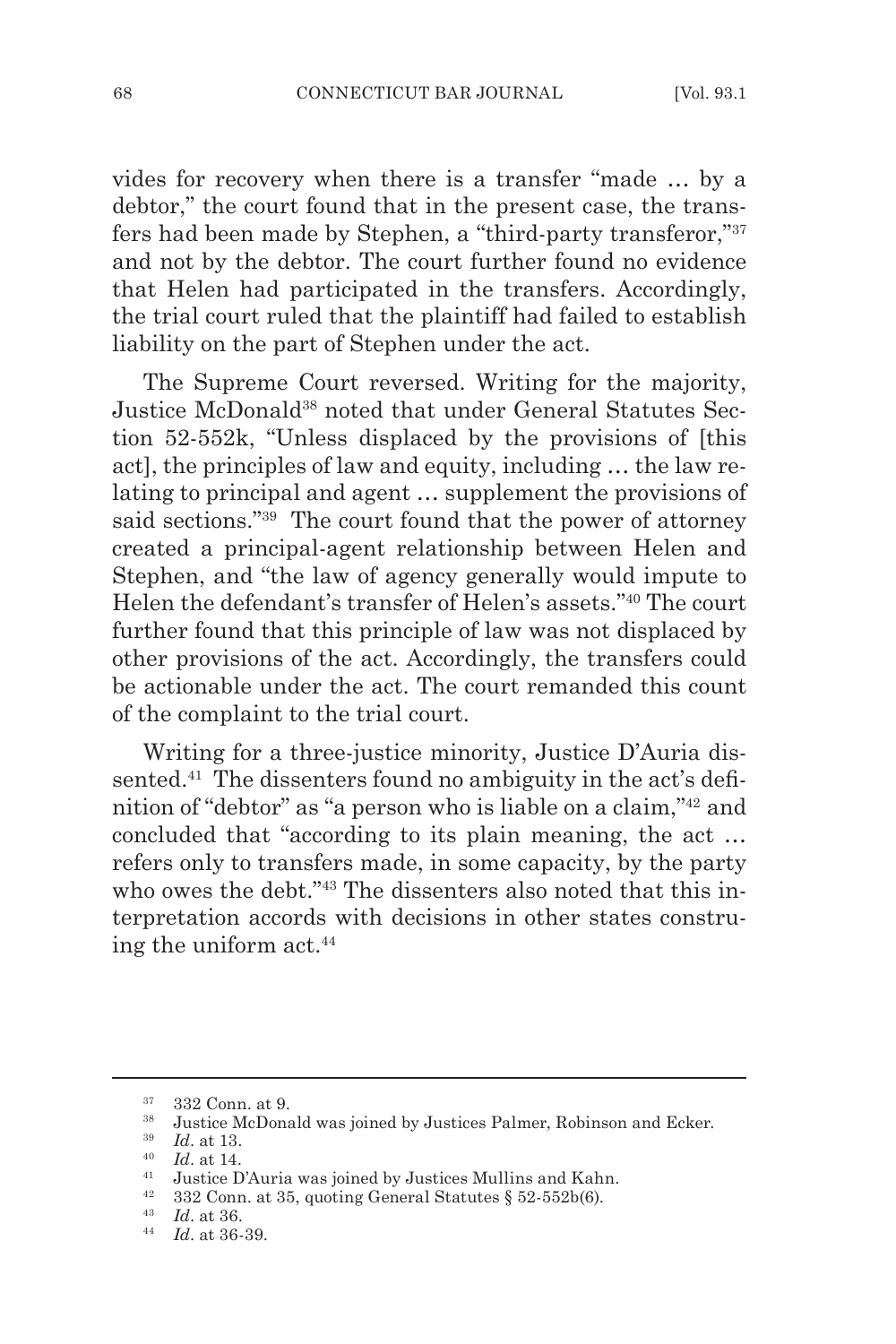vides for recovery when there is a transfer "made … by a debtor," the court found that in the present case, the transfers had been made by Stephen, a "third-party transferor,"37 and not by the debtor. The court further found no evidence that Helen had participated in the transfers. Accordingly, the trial court ruled that the plaintiff had failed to establish liability on the part of Stephen under the act.

The Supreme Court reversed. Writing for the majority, Justice McDonald38 noted that under General Statutes Section 52-552k, "Unless displaced by the provisions of [this act], the principles of law and equity, including … the law relating to principal and agent … supplement the provisions of said sections."39 The court found that the power of attorney created a principal-agent relationship between Helen and Stephen, and "the law of agency generally would impute to Helen the defendant's transfer of Helen's assets."40 The court further found that this principle of law was not displaced by other provisions of the act. Accordingly, the transfers could be actionable under the act. The court remanded this count of the complaint to the trial court.

Writing for a three-justice minority, Justice D'Auria dissented.<sup>41</sup> The dissenters found no ambiguity in the act's definition of "debtor" as "a person who is liable on a claim,"42 and concluded that "according to its plain meaning, the act … refers only to transfers made, in some capacity, by the party who owes the debt."<sup>43</sup> The dissenters also noted that this interpretation accords with decisions in other states construing the uniform act.<sup>44</sup>

 $\frac{37}{38}$  332 Conn. at 9.

<sup>&</sup>lt;sup>38</sup> Justice McDonald was joined by Justices Palmer, Robinson and Ecker.<br><sup>39</sup> *Id.* at 12

*Id.* at 13.

 $\frac{40}{41}$  *Id.* at 14.

<sup>41</sup> Justice D'Auria was joined by Justices Mullins and Kahn.

<sup>&</sup>lt;sup>42</sup> 332 Conn. at 35, quoting General Statutes  $§$  52-552b(6).

<sup>43</sup> *Id*. at 36.

<sup>44</sup> *Id*. at 36-39.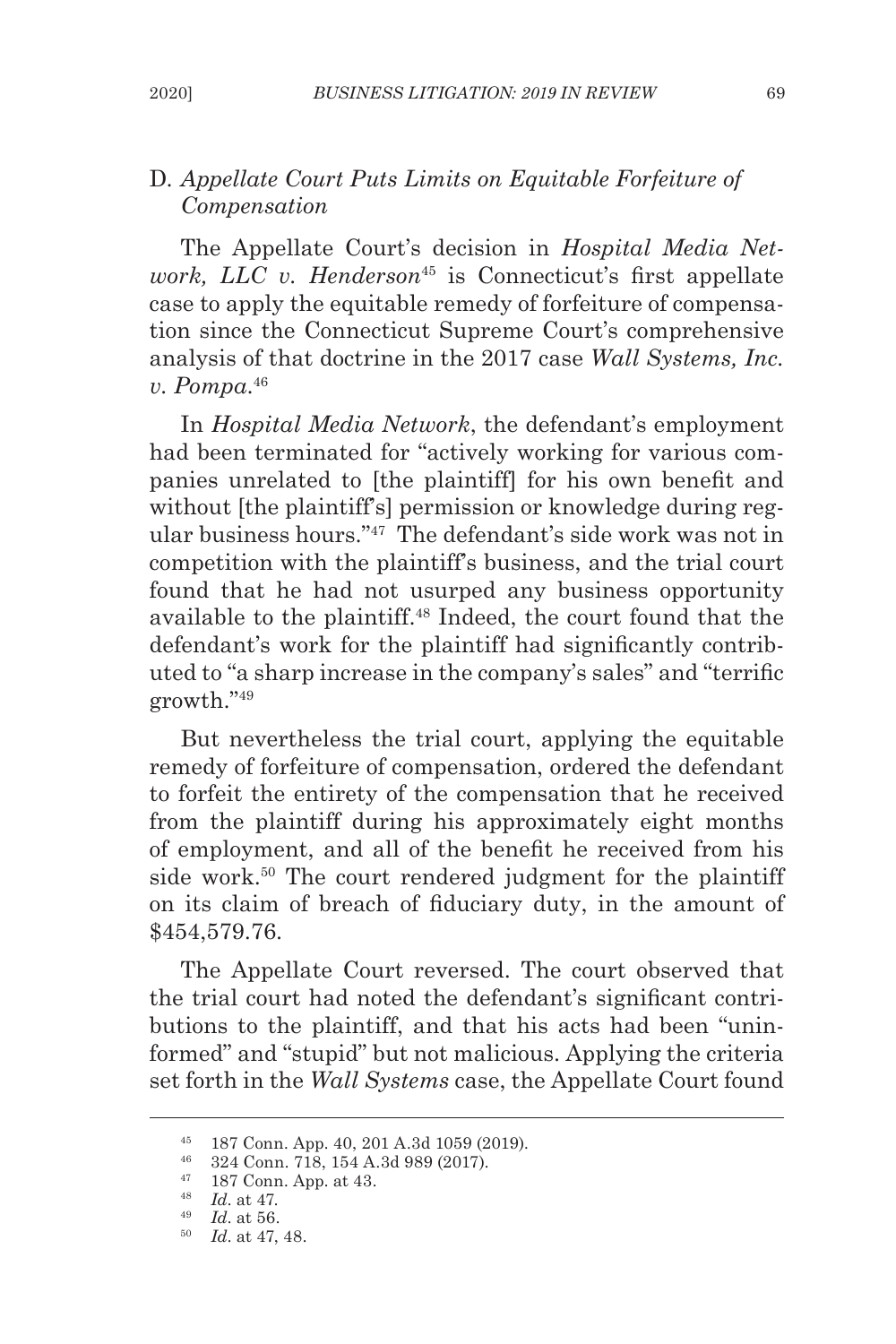# D. *Appellate Court Puts Limits on Equitable Forfeiture of Compensation*

The Appellate Court's decision in *Hospital Media Network, LLC v. Henderson*<sup>45</sup> is Connecticut's first appellate case to apply the equitable remedy of forfeiture of compensation since the Connecticut Supreme Court's comprehensive analysis of that doctrine in the 2017 case *Wall Systems, Inc. v. Pompa*. 46

In *Hospital Media Network*, the defendant's employment had been terminated for "actively working for various companies unrelated to [the plaintiff] for his own benefit and without [the plaintiff's] permission or knowledge during regular business hours."47 The defendant's side work was not in competition with the plaintiff's business, and the trial court found that he had not usurped any business opportunity available to the plaintiff.48 Indeed, the court found that the defendant's work for the plaintiff had significantly contributed to "a sharp increase in the company's sales" and "terrific growth."49

But nevertheless the trial court, applying the equitable remedy of forfeiture of compensation, ordered the defendant to forfeit the entirety of the compensation that he received from the plaintiff during his approximately eight months of employment, and all of the benefit he received from his side work.<sup>50</sup> The court rendered judgment for the plaintiff on its claim of breach of fiduciary duty, in the amount of \$454,579.76.

The Appellate Court reversed. The court observed that the trial court had noted the defendant's significant contributions to the plaintiff, and that his acts had been "uninformed" and "stupid" but not malicious. Applying the criteria set forth in the *Wall Systems* case, the Appellate Court found

<sup>45</sup> 187 Conn. App. 40, 201 A.3d 1059 (2019). 46 324 Conn. 718, 154 A.3d 989 (2017).

<sup>47</sup> 187 Conn. App. at 43.

<sup>48</sup> *Id*. at 47.

<sup>49</sup> *Id*. at 56.

<sup>50</sup> *Id*. at 47, 48.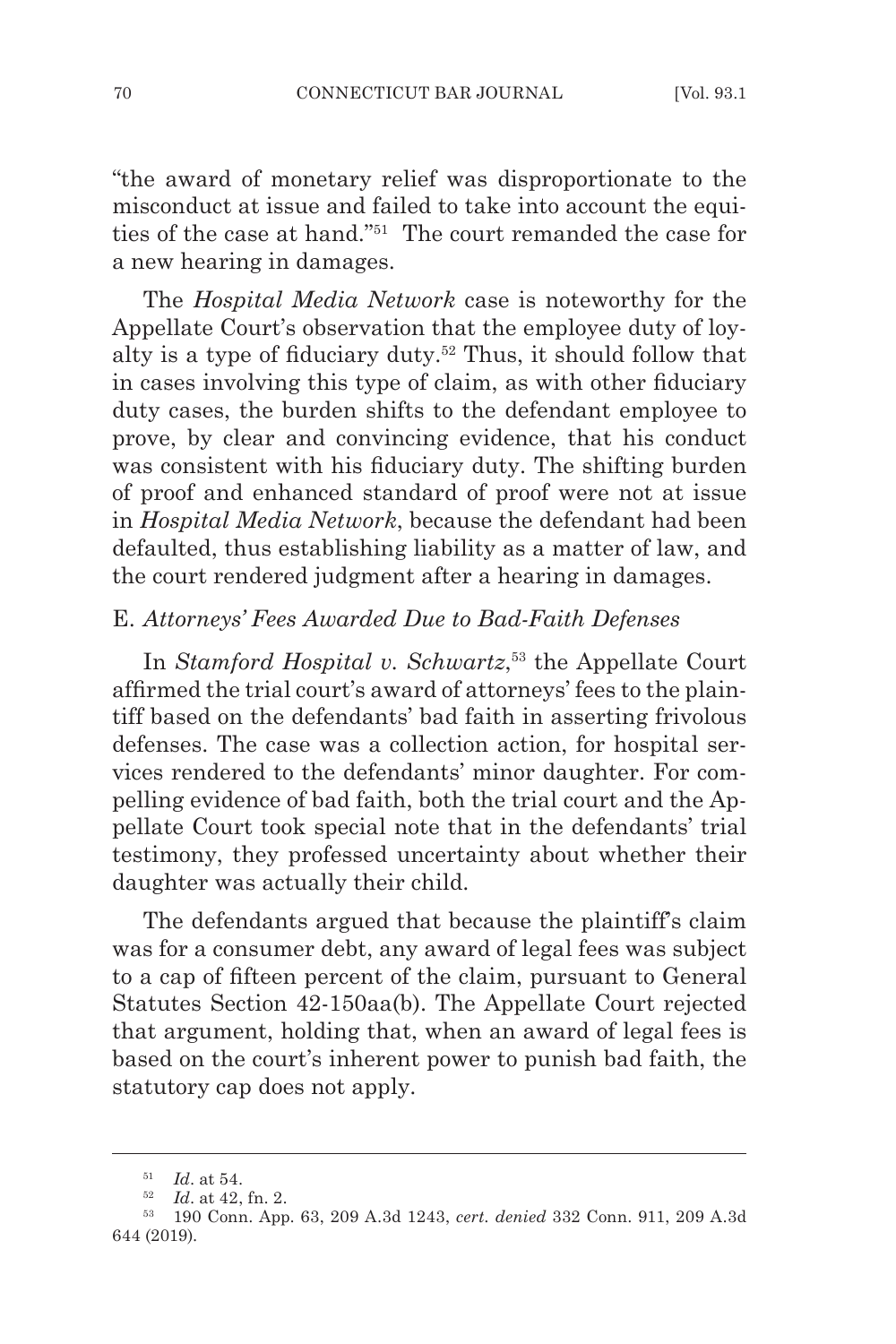"the award of monetary relief was disproportionate to the misconduct at issue and failed to take into account the equities of the case at hand."51 The court remanded the case for a new hearing in damages.

The *Hospital Media Network* case is noteworthy for the Appellate Court's observation that the employee duty of loyalty is a type of fiduciary duty.52 Thus, it should follow that in cases involving this type of claim, as with other fiduciary duty cases, the burden shifts to the defendant employee to prove, by clear and convincing evidence, that his conduct was consistent with his fiduciary duty. The shifting burden of proof and enhanced standard of proof were not at issue in *Hospital Media Network*, because the defendant had been defaulted, thus establishing liability as a matter of law, and the court rendered judgment after a hearing in damages.

#### E. *Attorneys' Fees Awarded Due to Bad-Faith Defenses*

In *Stamford Hospital v. Schwartz*, 53 the Appellate Court affirmed the trial court's award of attorneys' fees to the plaintiff based on the defendants' bad faith in asserting frivolous defenses. The case was a collection action, for hospital services rendered to the defendants' minor daughter. For compelling evidence of bad faith, both the trial court and the Appellate Court took special note that in the defendants' trial testimony, they professed uncertainty about whether their daughter was actually their child.

The defendants argued that because the plaintiff's claim was for a consumer debt, any award of legal fees was subject to a cap of fifteen percent of the claim, pursuant to General Statutes Section 42-150aa(b). The Appellate Court rejected that argument, holding that, when an award of legal fees is based on the court's inherent power to punish bad faith, the statutory cap does not apply.

<sup>51</sup> *Id*. at 54.

<sup>52</sup> *Id*. at 42, fn. 2.

<sup>53</sup> 190 Conn. App. 63, 209 A.3d 1243, *cert. denied* 332 Conn. 911, 209 A.3d 644 (2019).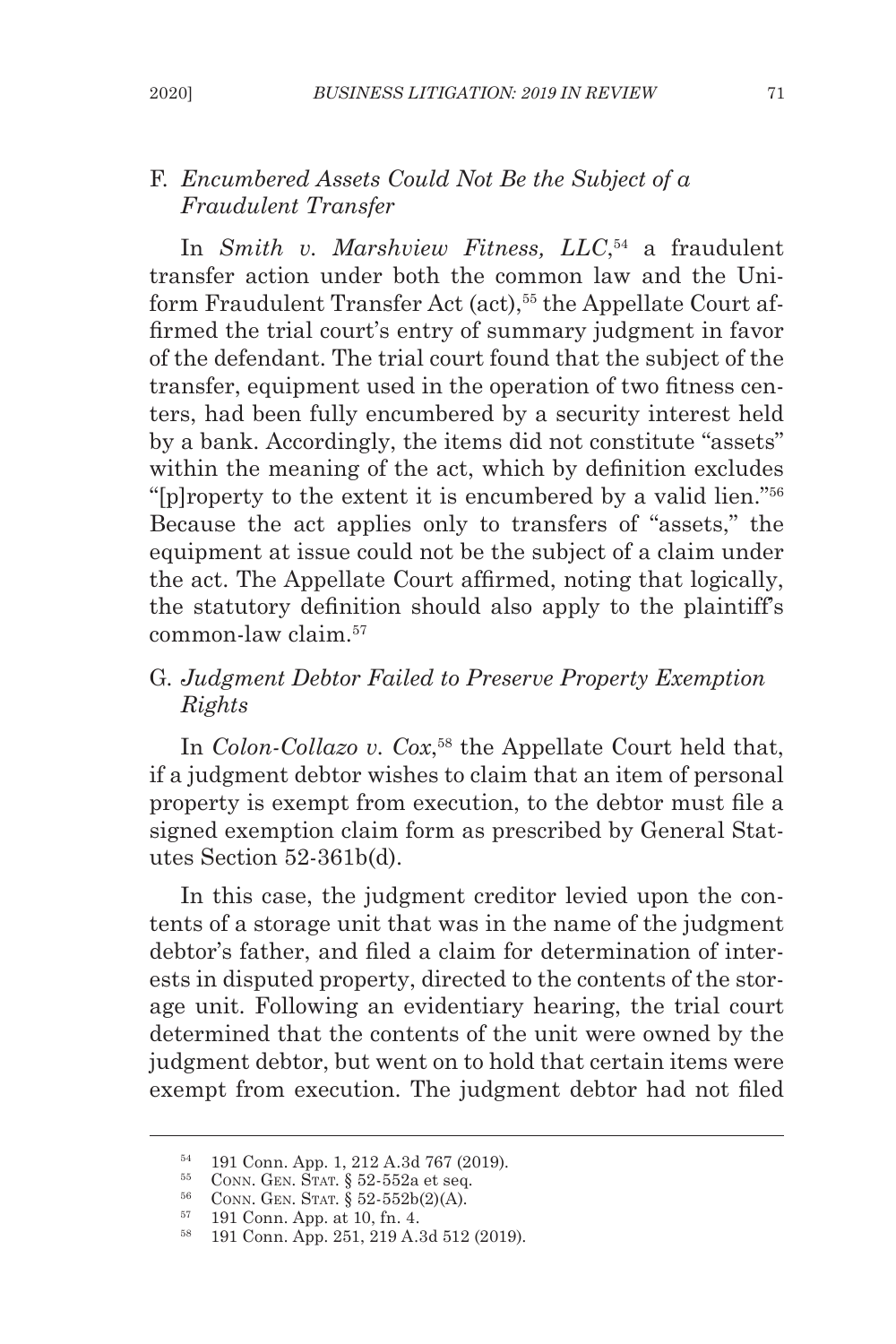# F*. Encumbered Assets Could Not Be the Subject of a Fraudulent Transfer*

In *Smith v. Marshview Fitness, LLC*, 54 a fraudulent transfer action under both the common law and the Uniform Fraudulent Transfer Act (act),<sup>55</sup> the Appellate Court affirmed the trial court's entry of summary judgment in favor of the defendant. The trial court found that the subject of the transfer, equipment used in the operation of two fitness centers, had been fully encumbered by a security interest held by a bank. Accordingly, the items did not constitute "assets" within the meaning of the act, which by definition excludes "[p]roperty to the extent it is encumbered by a valid lien."56 Because the act applies only to transfers of "assets," the equipment at issue could not be the subject of a claim under the act. The Appellate Court affirmed, noting that logically, the statutory definition should also apply to the plaintiff's common-law claim.57

# G*. Judgment Debtor Failed to Preserve Property Exemption Rights*

In *Colon-Collazo v. Cox*, 58 the Appellate Court held that, if a judgment debtor wishes to claim that an item of personal property is exempt from execution, to the debtor must file a signed exemption claim form as prescribed by General Statutes Section 52-361b(d).

In this case, the judgment creditor levied upon the contents of a storage unit that was in the name of the judgment debtor's father, and filed a claim for determination of interests in disputed property, directed to the contents of the storage unit. Following an evidentiary hearing, the trial court determined that the contents of the unit were owned by the judgment debtor, but went on to hold that certain items were exempt from execution. The judgment debtor had not filed

<sup>54</sup> 191 Conn. App. 1, 212 A.3d 767 (2019).

 $55$  CONN. GEN. STAT. § 52-552a et seq.

<sup>&</sup>lt;sup>56</sup> CONN. GEN. STAT. § 52-552b(2)(A).

<sup>57</sup> 191 Conn. App. at 10, fn. 4.

<sup>58</sup> 191 Conn. App. 251, 219 A.3d 512 (2019).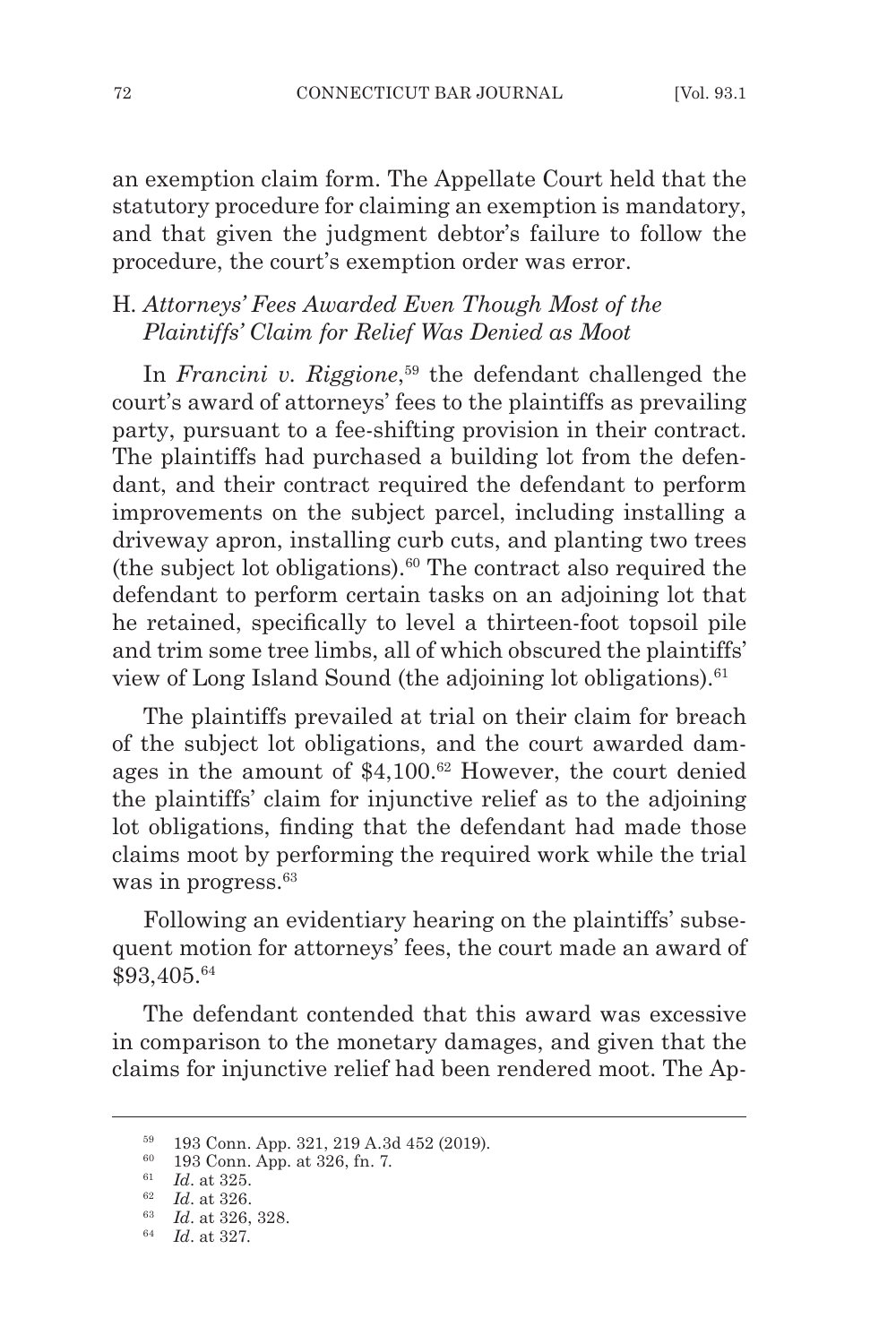an exemption claim form. The Appellate Court held that the statutory procedure for claiming an exemption is mandatory, and that given the judgment debtor's failure to follow the procedure, the court's exemption order was error.

### H*. Attorneys' Fees Awarded Even Though Most of the Plaintiffs' Claim for Relief Was Denied as Moot*

In *Francini v. Riggione*, 59 the defendant challenged the court's award of attorneys' fees to the plaintiffs as prevailing party, pursuant to a fee-shifting provision in their contract. The plaintiffs had purchased a building lot from the defendant, and their contract required the defendant to perform improvements on the subject parcel, including installing a driveway apron, installing curb cuts, and planting two trees (the subject lot obligations). $60$  The contract also required the defendant to perform certain tasks on an adjoining lot that he retained, specifically to level a thirteen-foot topsoil pile and trim some tree limbs, all of which obscured the plaintiffs' view of Long Island Sound (the adjoining lot obligations).<sup>61</sup>

The plaintiffs prevailed at trial on their claim for breach of the subject lot obligations, and the court awarded damages in the amount of \$4,100.62 However, the court denied the plaintiffs' claim for injunctive relief as to the adjoining lot obligations, finding that the defendant had made those claims moot by performing the required work while the trial was in progress.<sup>63</sup>

Following an evidentiary hearing on the plaintiffs' subsequent motion for attorneys' fees, the court made an award of \$93,405.64

The defendant contended that this award was excessive in comparison to the monetary damages, and given that the claims for injunctive relief had been rendered moot. The Ap-

<sup>59</sup> 193 Conn. App. 321, 219 A.3d 452 (2019).

<sup>60</sup> 193 Conn. App. at 326, fn. 7.

<sup>61</sup> *Id*. at 325.

<sup>62</sup> *Id*. at 326.

<sup>63</sup> *Id*. at 326, 328.

<sup>64</sup> *Id*. at 327.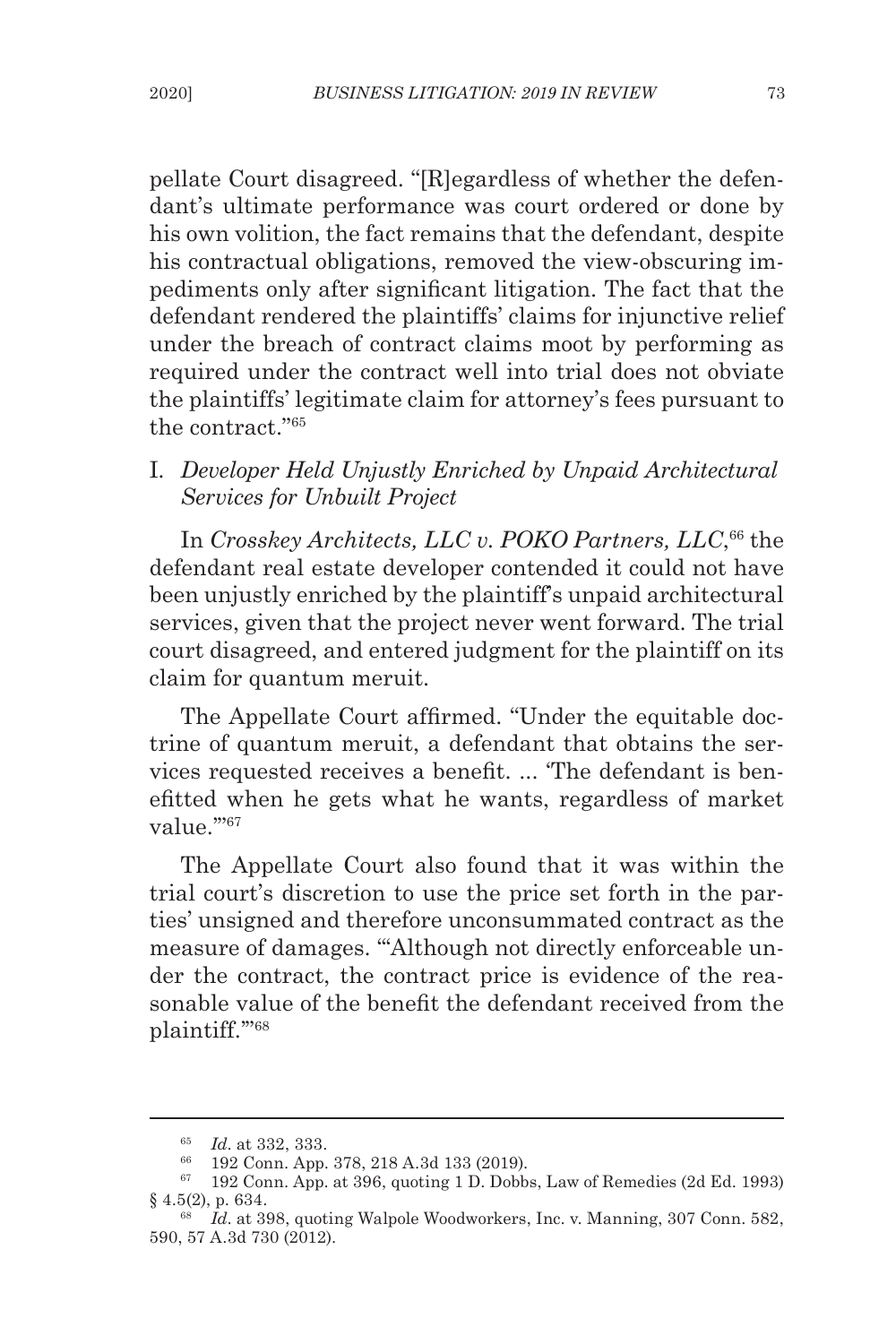pellate Court disagreed. "[R]egardless of whether the defendant's ultimate performance was court ordered or done by his own volition, the fact remains that the defendant, despite his contractual obligations, removed the view-obscuring impediments only after significant litigation. The fact that the defendant rendered the plaintiffs' claims for injunctive relief under the breach of contract claims moot by performing as required under the contract well into trial does not obviate the plaintiffs' legitimate claim for attorney's fees pursuant to the contract."65

# I*. Developer Held Unjustly Enriched by Unpaid Architectural Services for Unbuilt Project*

In *Crosskey Architects, LLC v. POKO Partners, LLC*, <sup>66</sup> the defendant real estate developer contended it could not have been unjustly enriched by the plaintiff's unpaid architectural services, given that the project never went forward. The trial court disagreed, and entered judgment for the plaintiff on its claim for quantum meruit.

The Appellate Court affirmed. "Under the equitable doctrine of quantum meruit, a defendant that obtains the services requested receives a benefit. ... 'The defendant is benefitted when he gets what he wants, regardless of market value."<sup>67</sup>

The Appellate Court also found that it was within the trial court's discretion to use the price set forth in the parties' unsigned and therefore unconsummated contract as the measure of damages. "'Although not directly enforceable under the contract, the contract price is evidence of the reasonable value of the benefit the defendant received from the plaintiff.'"68

<sup>65</sup> *Id*. at 332, 333.

<sup>66</sup> 192 Conn. App. 378, 218 A.3d 133 (2019).

 $67$  192 Conn. App. at 396, quoting 1 D. Dobbs, Law of Remedies (2d Ed. 1993) § 4.5(2), p. 634.

<sup>68</sup> *Id*. at 398, quoting Walpole Woodworkers, Inc. v. Manning, 307 Conn. 582, 590, 57 A.3d 730 (2012).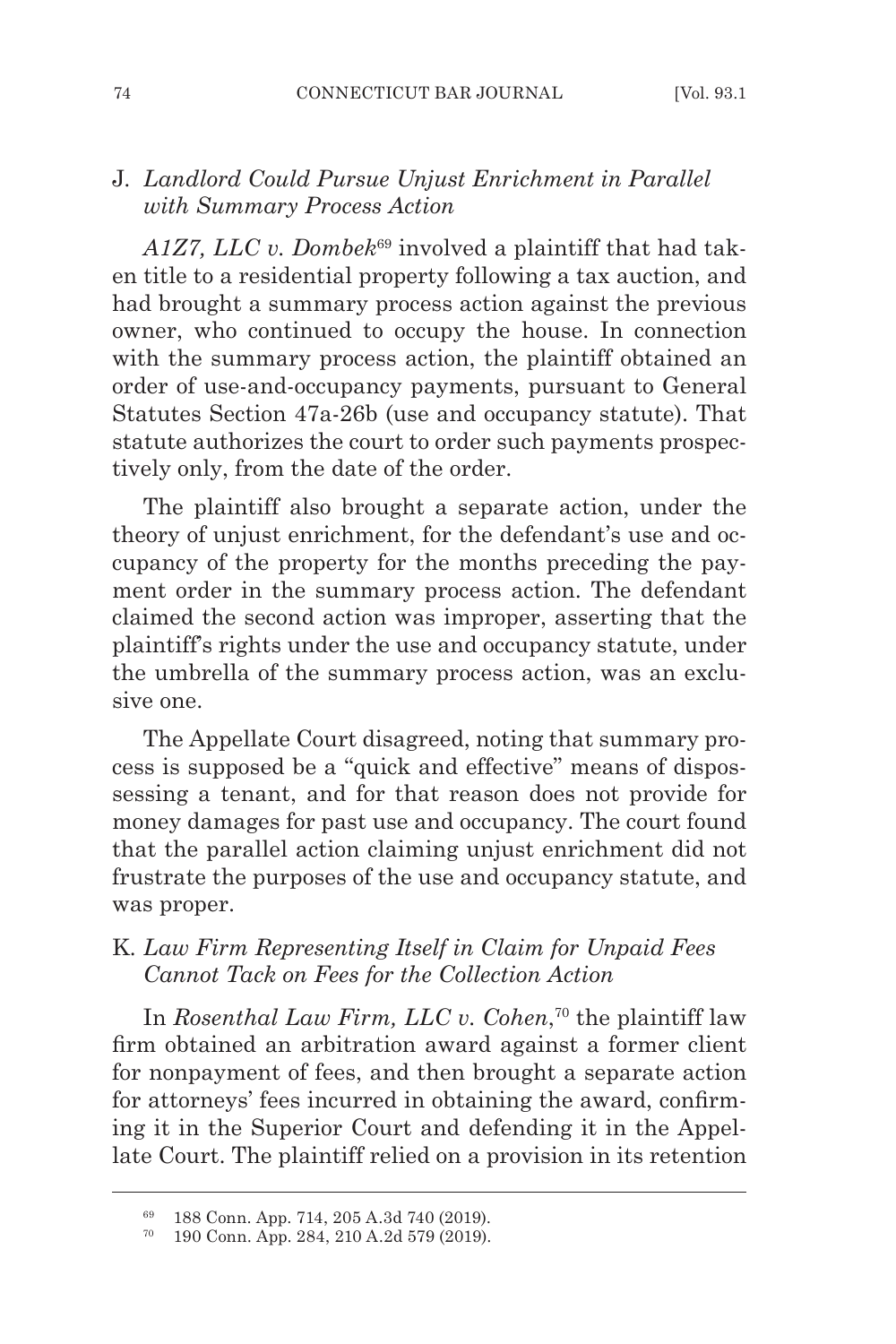# J. *Landlord Could Pursue Unjust Enrichment in Parallel with Summary Process Action*

*A1Z7, LLC v. Dombek*69 involved a plaintiff that had taken title to a residential property following a tax auction, and had brought a summary process action against the previous owner, who continued to occupy the house. In connection with the summary process action, the plaintiff obtained an order of use-and-occupancy payments, pursuant to General Statutes Section 47a-26b (use and occupancy statute). That statute authorizes the court to order such payments prospectively only, from the date of the order.

The plaintiff also brought a separate action, under the theory of unjust enrichment, for the defendant's use and occupancy of the property for the months preceding the payment order in the summary process action. The defendant claimed the second action was improper, asserting that the plaintiff's rights under the use and occupancy statute, under the umbrella of the summary process action, was an exclusive one.

The Appellate Court disagreed, noting that summary process is supposed be a "quick and effective" means of dispossessing a tenant, and for that reason does not provide for money damages for past use and occupancy. The court found that the parallel action claiming unjust enrichment did not frustrate the purposes of the use and occupancy statute, and was proper.

# K*. Law Firm Representing Itself in Claim for Unpaid Fees Cannot Tack on Fees for the Collection Action*

In *Rosenthal Law Firm, LLC v. Cohen*, 70 the plaintiff law firm obtained an arbitration award against a former client for nonpayment of fees, and then brought a separate action for attorneys' fees incurred in obtaining the award, confirming it in the Superior Court and defending it in the Appellate Court. The plaintiff relied on a provision in its retention

<sup>69</sup> 188 Conn. App. 714, 205 A.3d 740 (2019).

<sup>70</sup> 190 Conn. App. 284, 210 A.2d 579 (2019).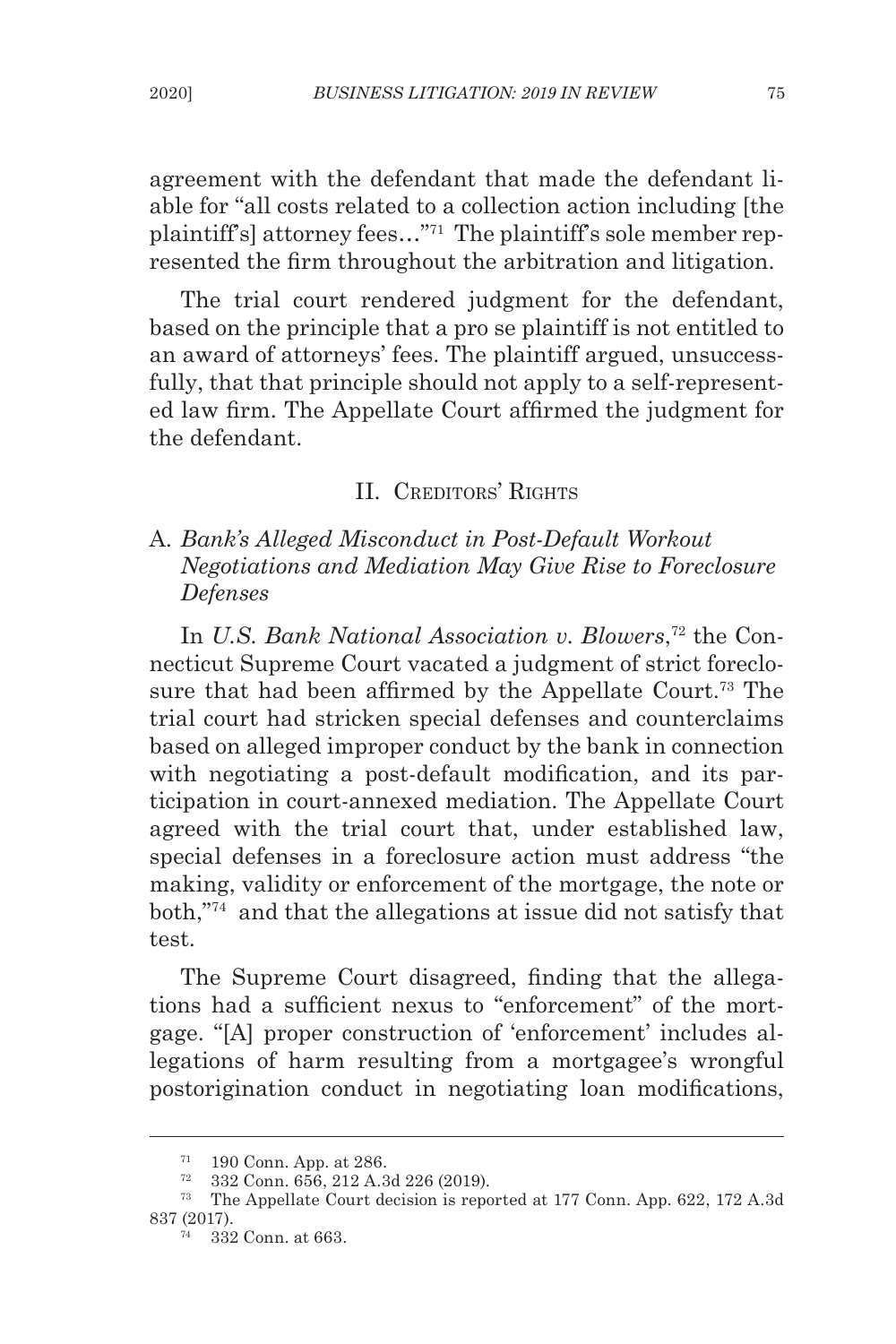agreement with the defendant that made the defendant liable for "all costs related to a collection action including [the plaintiff's] attorney fees…"71 The plaintiff's sole member represented the firm throughout the arbitration and litigation.

The trial court rendered judgment for the defendant, based on the principle that a pro se plaintiff is not entitled to an award of attorneys' fees. The plaintiff argued, unsuccessfully, that that principle should not apply to a self-represented law firm. The Appellate Court affirmed the judgment for the defendant.

### II. CREDITORS' RIGHTS

# A*. Bank's Alleged Misconduct in Post-Default Workout Negotiations and Mediation May Give Rise to Foreclosure Defenses*

In *U.S. Bank National Association v. Blowers*, 72 the Connecticut Supreme Court vacated a judgment of strict foreclosure that had been affirmed by the Appellate Court.73 The trial court had stricken special defenses and counterclaims based on alleged improper conduct by the bank in connection with negotiating a post-default modification, and its participation in court-annexed mediation. The Appellate Court agreed with the trial court that, under established law, special defenses in a foreclosure action must address "the making, validity or enforcement of the mortgage, the note or both,"74 and that the allegations at issue did not satisfy that test.

The Supreme Court disagreed, finding that the allegations had a sufficient nexus to "enforcement" of the mortgage. "[A] proper construction of 'enforcement' includes allegations of harm resulting from a mortgagee's wrongful postorigination conduct in negotiating loan modifications,

<sup>71</sup> 190 Conn. App. at 286.

<sup>72</sup> 332 Conn. 656, 212 A.3d 226 (2019).

<sup>73</sup> The Appellate Court decision is reported at 177 Conn. App. 622, 172 A.3d 837 (2017).

<sup>74</sup> 332 Conn. at 663.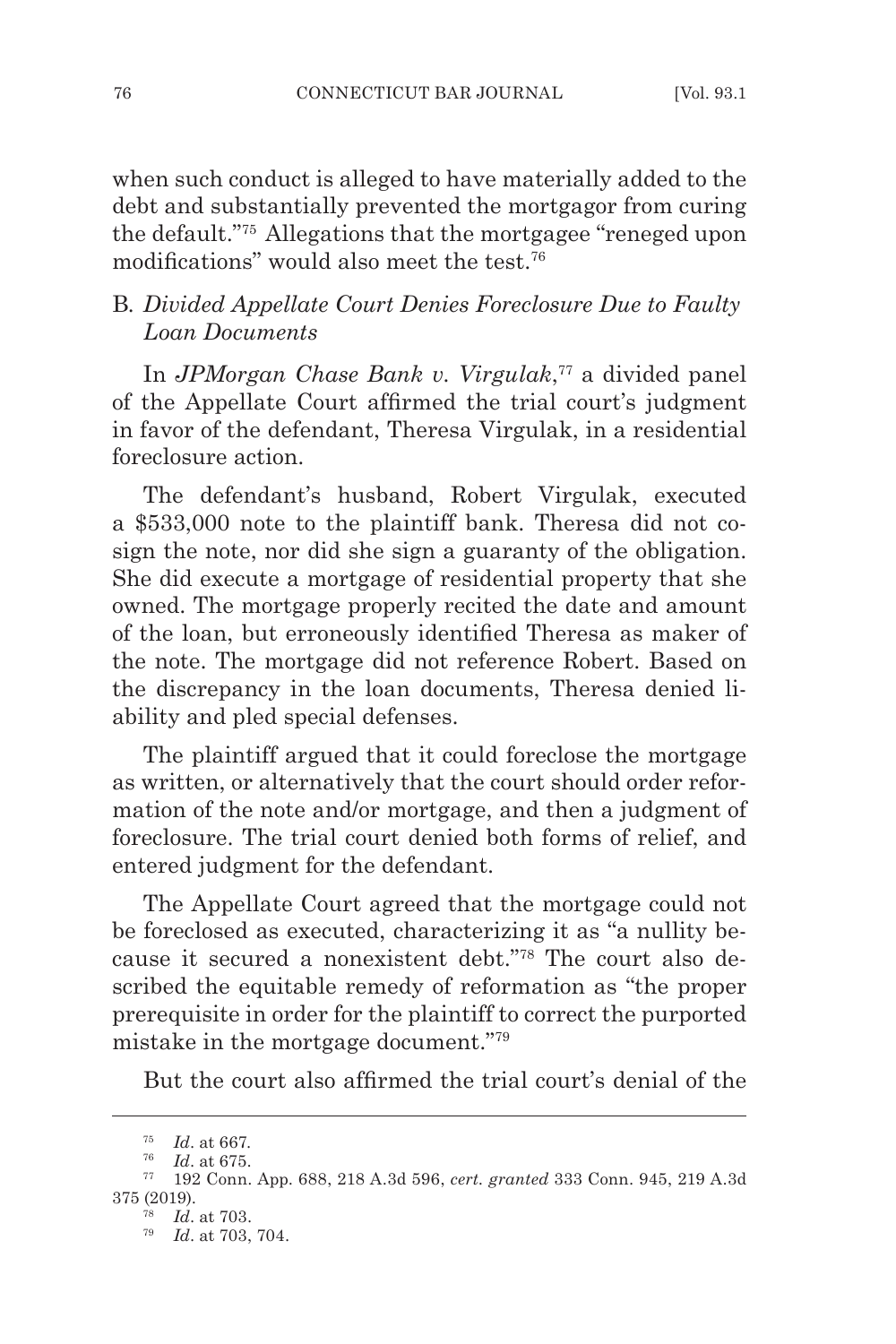when such conduct is alleged to have materially added to the debt and substantially prevented the mortgagor from curing the default."75 Allegations that the mortgagee "reneged upon modifications" would also meet the test.76

# B*. Divided Appellate Court Denies Foreclosure Due to Faulty Loan Documents*

In *JPMorgan Chase Bank v. Virgulak*, 77 a divided panel of the Appellate Court affirmed the trial court's judgment in favor of the defendant, Theresa Virgulak, in a residential foreclosure action.

The defendant's husband, Robert Virgulak, executed a \$533,000 note to the plaintiff bank. Theresa did not cosign the note, nor did she sign a guaranty of the obligation. She did execute a mortgage of residential property that she owned. The mortgage properly recited the date and amount of the loan, but erroneously identified Theresa as maker of the note. The mortgage did not reference Robert. Based on the discrepancy in the loan documents, Theresa denied liability and pled special defenses.

The plaintiff argued that it could foreclose the mortgage as written, or alternatively that the court should order reformation of the note and/or mortgage, and then a judgment of foreclosure. The trial court denied both forms of relief, and entered judgment for the defendant.

The Appellate Court agreed that the mortgage could not be foreclosed as executed, characterizing it as "a nullity because it secured a nonexistent debt."78 The court also described the equitable remedy of reformation as "the proper prerequisite in order for the plaintiff to correct the purported mistake in the mortgage document."79

But the court also affirmed the trial court's denial of the

<sup>75</sup> *Id*. at 667.

<sup>76</sup> *Id*. at 675.

<sup>77</sup> 192 Conn. App. 688, 218 A.3d 596, *cert. granted* 333 Conn. 945, 219 A.3d 375 (2019).

<sup>78</sup> *Id*. at 703.

<sup>79</sup> *Id*. at 703, 704.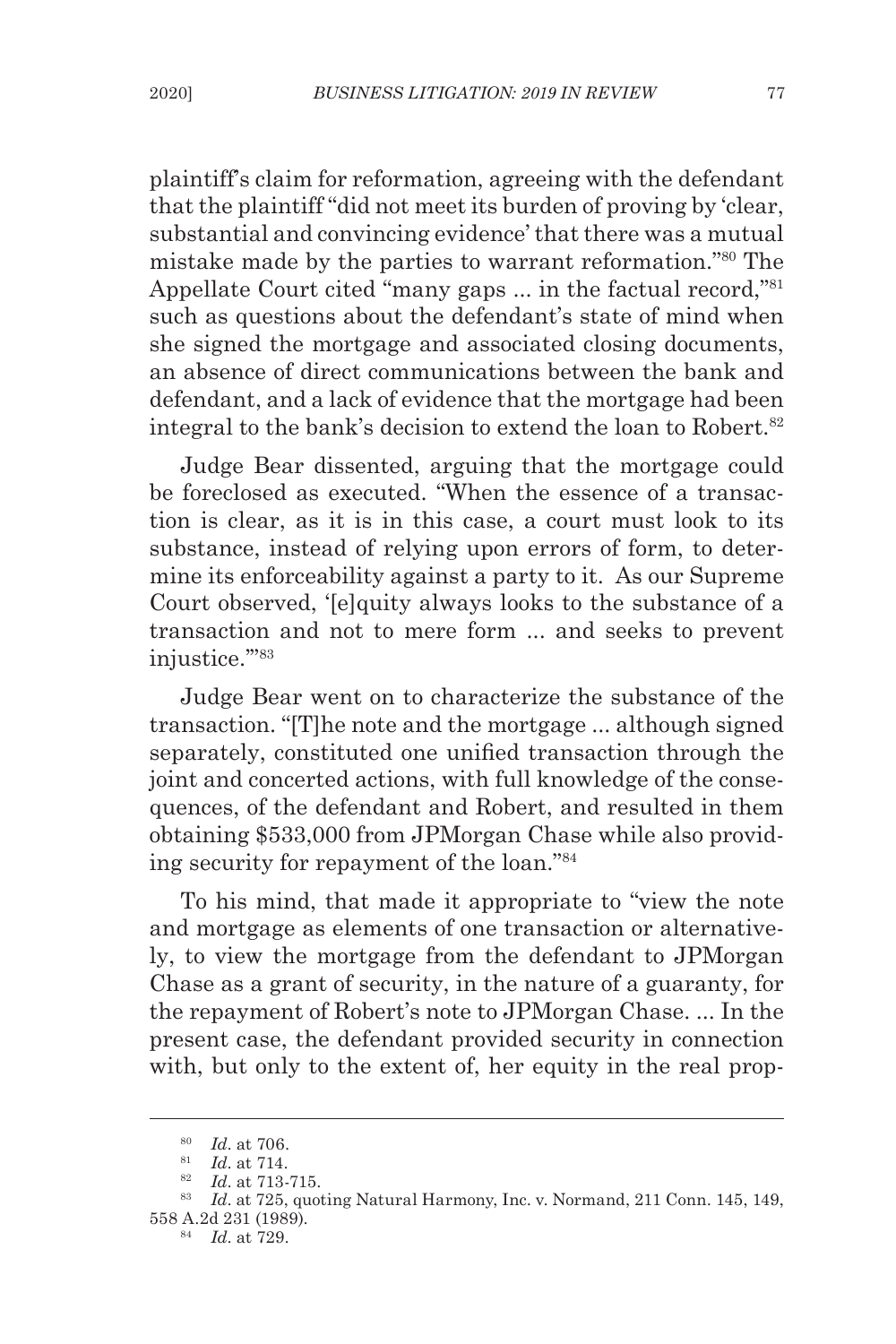plaintiff's claim for reformation, agreeing with the defendant that the plaintiff "did not meet its burden of proving by 'clear, substantial and convincing evidence' that there was a mutual mistake made by the parties to warrant reformation."80 The Appellate Court cited "many gaps ... in the factual record,"<sup>81</sup> such as questions about the defendant's state of mind when she signed the mortgage and associated closing documents, an absence of direct communications between the bank and defendant, and a lack of evidence that the mortgage had been integral to the bank's decision to extend the loan to Robert.<sup>82</sup>

Judge Bear dissented, arguing that the mortgage could be foreclosed as executed. "When the essence of a transaction is clear, as it is in this case, a court must look to its substance, instead of relying upon errors of form, to determine its enforceability against a party to it. As our Supreme Court observed, '[e]quity always looks to the substance of a transaction and not to mere form ... and seeks to prevent injustice."<sup>83</sup>

Judge Bear went on to characterize the substance of the transaction. "[T]he note and the mortgage ... although signed separately, constituted one unified transaction through the joint and concerted actions, with full knowledge of the consequences, of the defendant and Robert, and resulted in them obtaining \$533,000 from JPMorgan Chase while also providing security for repayment of the loan."84

To his mind, that made it appropriate to "view the note and mortgage as elements of one transaction or alternatively, to view the mortgage from the defendant to JPMorgan Chase as a grant of security, in the nature of a guaranty, for the repayment of Robert's note to JPMorgan Chase. ... In the present case, the defendant provided security in connection with, but only to the extent of, her equity in the real prop-

<sup>80</sup> *Id*. at 706.

<sup>81</sup> *Id*. at 714.

<sup>82</sup> *Id*. at 713-715.

<sup>83</sup> *Id*. at 725, quoting Natural Harmony, Inc. v. Normand, 211 Conn. 145, 149, 558 A.2d 231 (1989).

<sup>84</sup> *Id*. at 729.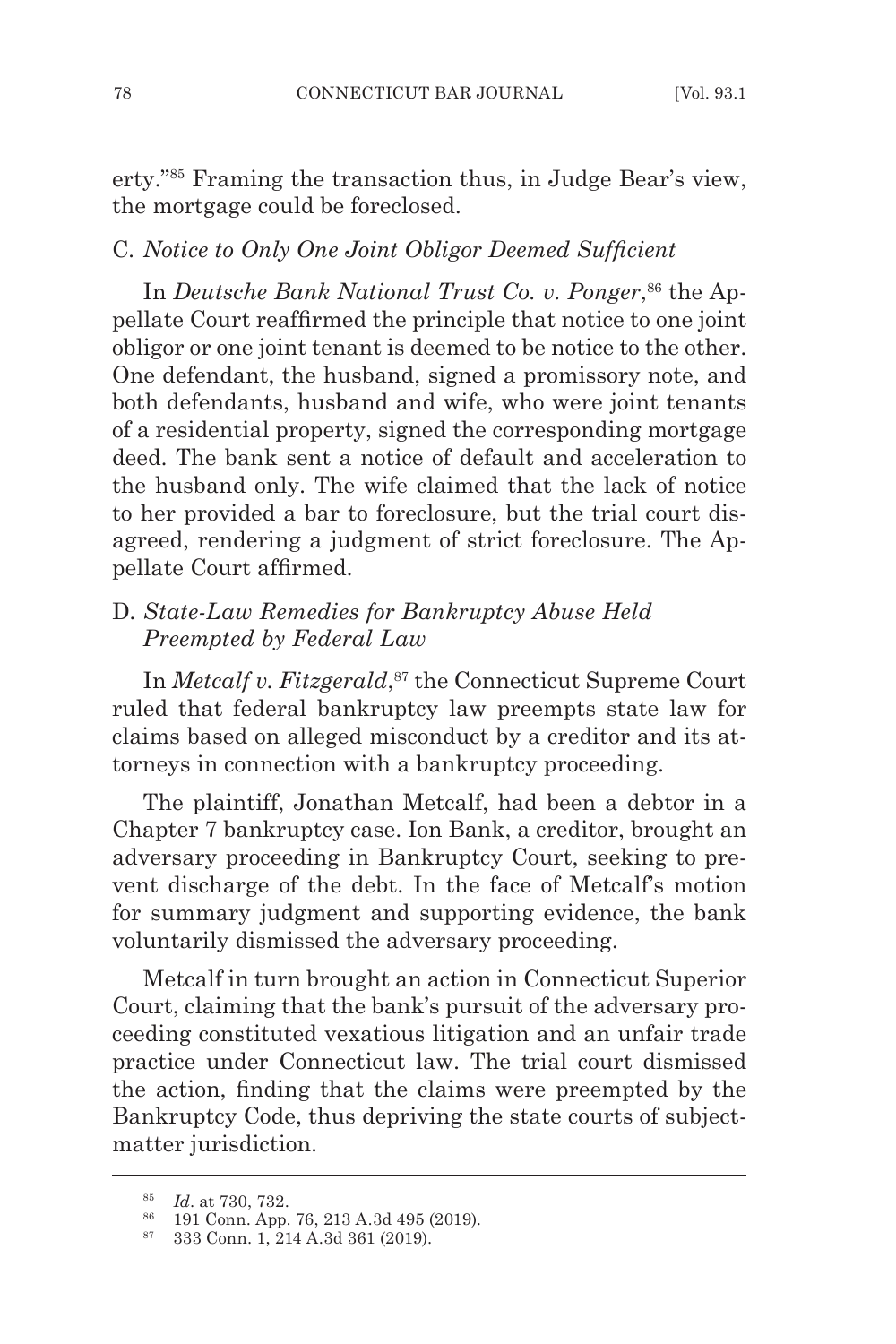erty."85 Framing the transaction thus, in Judge Bear's view, the mortgage could be foreclosed.

#### C. *Notice to Only One Joint Obligor Deemed Sufficient*

In *Deutsche Bank National Trust Co. v. Ponger*, 86 the Appellate Court reaffirmed the principle that notice to one joint obligor or one joint tenant is deemed to be notice to the other. One defendant, the husband, signed a promissory note, and both defendants, husband and wife, who were joint tenants of a residential property, signed the corresponding mortgage deed. The bank sent a notice of default and acceleration to the husband only. The wife claimed that the lack of notice to her provided a bar to foreclosure, but the trial court disagreed, rendering a judgment of strict foreclosure. The Appellate Court affirmed.

# D. *State-Law Remedies for Bankruptcy Abuse Held Preempted by Federal Law*

In *Metcalf v. Fitzgerald*, <sup>87</sup> the Connecticut Supreme Court ruled that federal bankruptcy law preempts state law for claims based on alleged misconduct by a creditor and its attorneys in connection with a bankruptcy proceeding.

The plaintiff, Jonathan Metcalf, had been a debtor in a Chapter 7 bankruptcy case. Ion Bank, a creditor, brought an adversary proceeding in Bankruptcy Court, seeking to prevent discharge of the debt. In the face of Metcalf's motion for summary judgment and supporting evidence, the bank voluntarily dismissed the adversary proceeding.

Metcalf in turn brought an action in Connecticut Superior Court, claiming that the bank's pursuit of the adversary proceeding constituted vexatious litigation and an unfair trade practice under Connecticut law. The trial court dismissed the action, finding that the claims were preempted by the Bankruptcy Code, thus depriving the state courts of subjectmatter jurisdiction.

<sup>85</sup> *Id*. at 730, 732.

<sup>86</sup> 191 Conn. App. 76, 213 A.3d 495 (2019).

<sup>87</sup> 333 Conn. 1, 214 A.3d 361 (2019).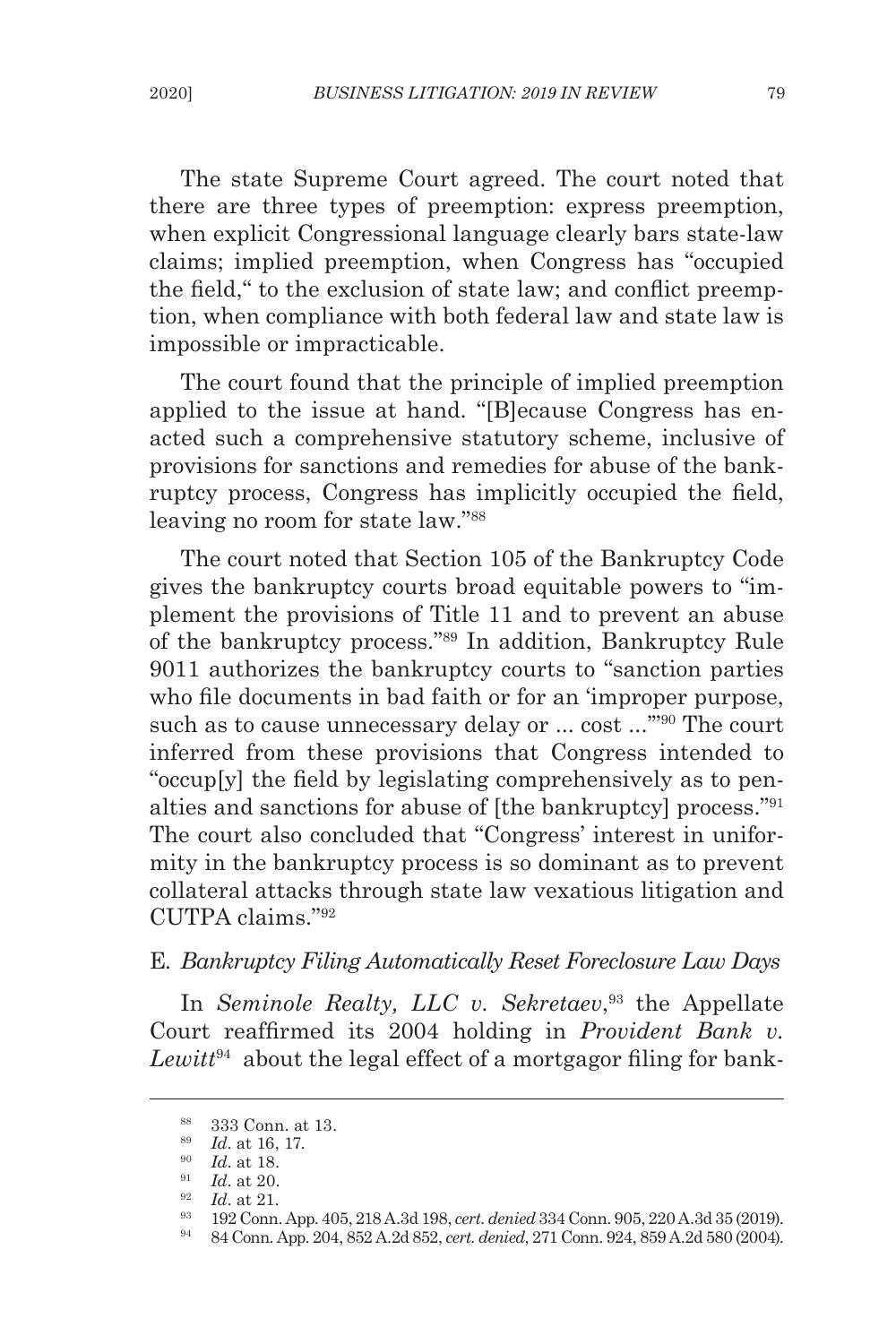The state Supreme Court agreed. The court noted that there are three types of preemption: express preemption, when explicit Congressional language clearly bars state-law claims; implied preemption, when Congress has "occupied the field," to the exclusion of state law; and conflict preemption, when compliance with both federal law and state law is impossible or impracticable.

The court found that the principle of implied preemption applied to the issue at hand. "[B]ecause Congress has enacted such a comprehensive statutory scheme, inclusive of provisions for sanctions and remedies for abuse of the bankruptcy process, Congress has implicitly occupied the field, leaving no room for state law."88

The court noted that Section 105 of the Bankruptcy Code gives the bankruptcy courts broad equitable powers to "implement the provisions of Title 11 and to prevent an abuse of the bankruptcy process."89 In addition, Bankruptcy Rule 9011 authorizes the bankruptcy courts to "sanction parties who file documents in bad faith or for an 'improper purpose, such as to cause unnecessary delay or ... cost ..."<sup>90</sup> The court inferred from these provisions that Congress intended to "occup[y] the field by legislating comprehensively as to penalties and sanctions for abuse of [the bankruptcy] process."<sup>91</sup> The court also concluded that "Congress' interest in uniformity in the bankruptcy process is so dominant as to prevent collateral attacks through state law vexatious litigation and CUTPA claims."<sup>92</sup>

# E*. Bankruptcy Filing Automatically Reset Foreclosure Law Days*

In *Seminole Realty, LLC v. Sekretaev*, <sup>93</sup> the Appellate Court reaffirmed its 2004 holding in *Provident Bank v. Lewitt*94 about the legal effect of a mortgagor filing for bank-

<sup>88</sup> 333 Conn. at 13.

<sup>89</sup> *Id*. at 16, 17.

<sup>90</sup> *Id*. at 18.

<sup>91</sup> *Id*. at 20.

 $\frac{92}{93}$  *Id.* at 21.

<sup>93</sup> 192 Conn. App. 405, 218 A.3d 198, *cert. denied* 334 Conn. 905, 220 A.3d 35 (2019).

<sup>94</sup> 84 Conn. App. 204, 852 A.2d 852, *cert. denied*, 271 Conn. 924, 859 A.2d 580 (2004).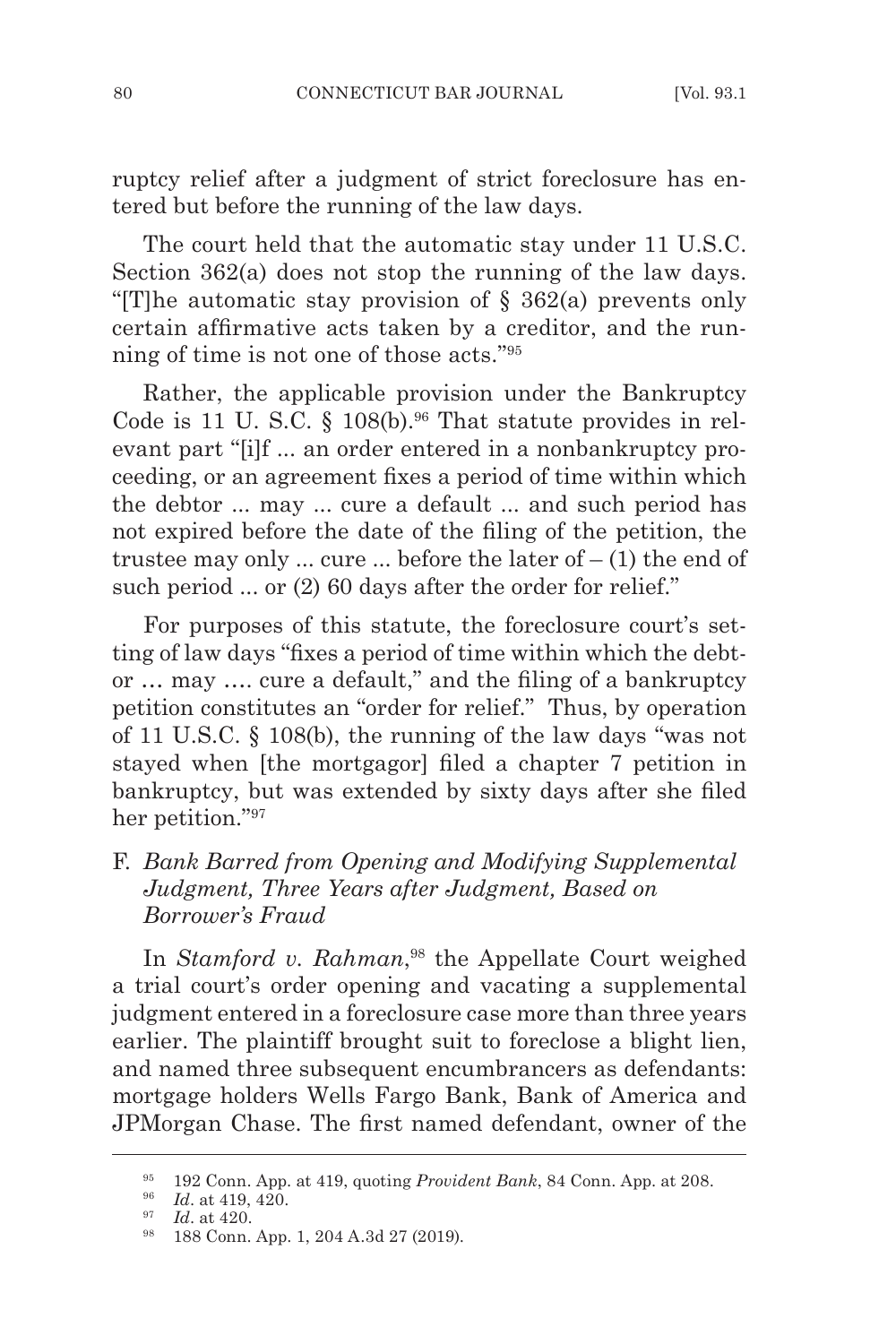ruptcy relief after a judgment of strict foreclosure has entered but before the running of the law days.

The court held that the automatic stay under 11 U.S.C. Section 362(a) does not stop the running of the law days. "[T]he automatic stay provision of § 362(a) prevents only certain affirmative acts taken by a creditor, and the running of time is not one of those acts."95

Rather, the applicable provision under the Bankruptcy Code is 11 U.S.C. § 108(b).<sup>96</sup> That statute provides in relevant part "[i]f ... an order entered in a nonbankruptcy proceeding, or an agreement fixes a period of time within which the debtor ... may ... cure a default ... and such period has not expired before the date of the filing of the petition, the trustee may only ... cure ... before the later of  $- (1)$  the end of such period ... or (2) 60 days after the order for relief."

For purposes of this statute, the foreclosure court's setting of law days "fixes a period of time within which the debtor … may …. cure a default," and the filing of a bankruptcy petition constitutes an "order for relief." Thus, by operation of 11 U.S.C. § 108(b), the running of the law days "was not stayed when [the mortgagor] filed a chapter 7 petition in bankruptcy, but was extended by sixty days after she filed her petition."97

# F*. Bank Barred from Opening and Modifying Supplemental Judgment, Three Years after Judgment, Based on Borrower's Fraud*

In *Stamford v. Rahman*, 98 the Appellate Court weighed a trial court's order opening and vacating a supplemental judgment entered in a foreclosure case more than three years earlier. The plaintiff brought suit to foreclose a blight lien, and named three subsequent encumbrancers as defendants: mortgage holders Wells Fargo Bank, Bank of America and JPMorgan Chase. The first named defendant, owner of the

<sup>95</sup> 192 Conn. App. at 419, quoting *Provident Bank*, 84 Conn. App. at 208.

<sup>96</sup> *Id*. at 419, 420.

<sup>97</sup> *Id*. at 420.

<sup>98</sup> 188 Conn. App. 1, 204 A.3d 27 (2019).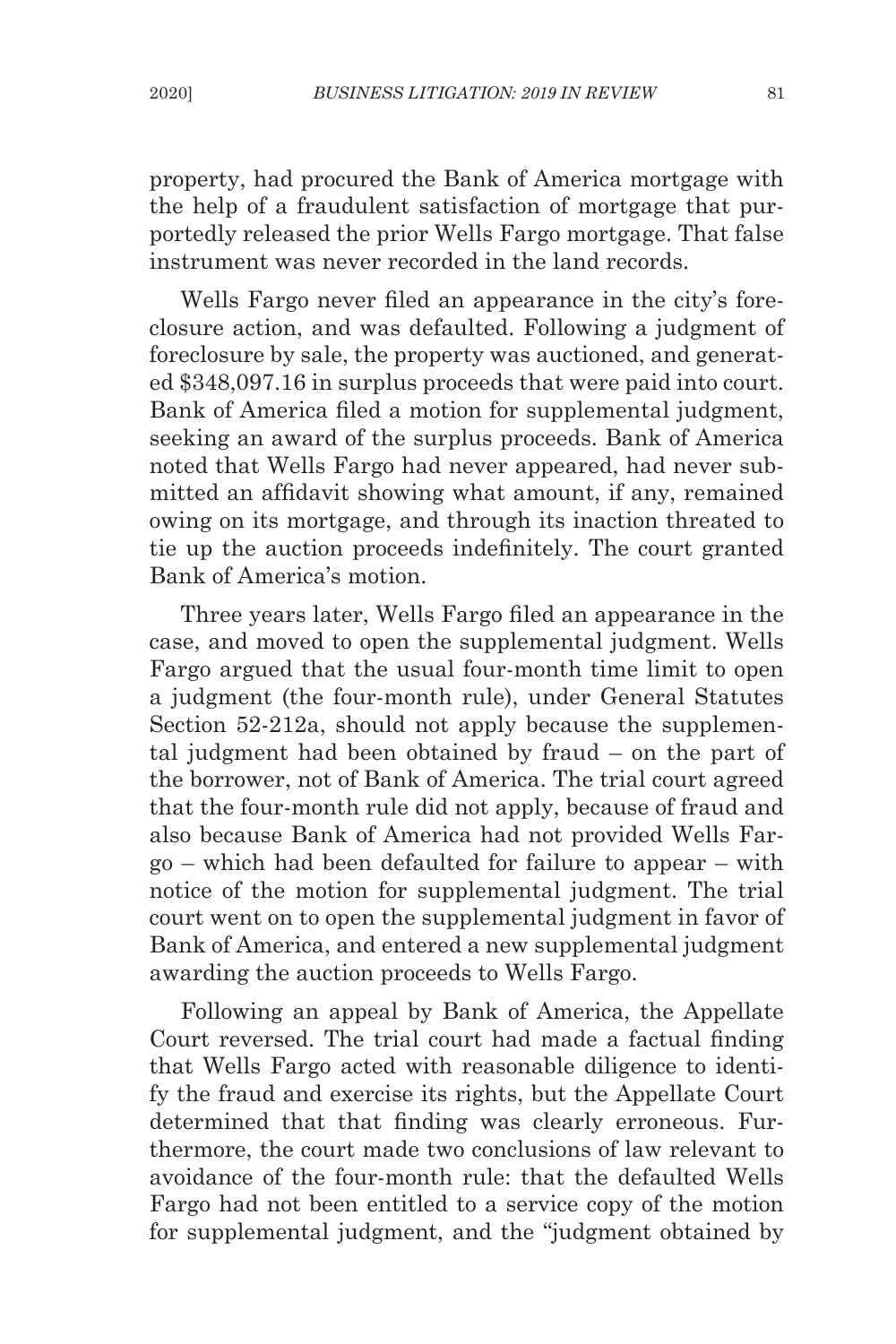property, had procured the Bank of America mortgage with the help of a fraudulent satisfaction of mortgage that purportedly released the prior Wells Fargo mortgage. That false instrument was never recorded in the land records.

Wells Fargo never filed an appearance in the city's foreclosure action, and was defaulted. Following a judgment of foreclosure by sale, the property was auctioned, and generated \$348,097.16 in surplus proceeds that were paid into court. Bank of America filed a motion for supplemental judgment, seeking an award of the surplus proceeds. Bank of America noted that Wells Fargo had never appeared, had never submitted an affidavit showing what amount, if any, remained owing on its mortgage, and through its inaction threated to tie up the auction proceeds indefinitely. The court granted Bank of America's motion.

Three years later, Wells Fargo filed an appearance in the case, and moved to open the supplemental judgment. Wells Fargo argued that the usual four-month time limit to open a judgment (the four-month rule), under General Statutes Section 52-212a, should not apply because the supplemental judgment had been obtained by fraud – on the part of the borrower, not of Bank of America. The trial court agreed that the four-month rule did not apply, because of fraud and also because Bank of America had not provided Wells Fargo – which had been defaulted for failure to appear – with notice of the motion for supplemental judgment. The trial court went on to open the supplemental judgment in favor of Bank of America, and entered a new supplemental judgment awarding the auction proceeds to Wells Fargo.

Following an appeal by Bank of America, the Appellate Court reversed. The trial court had made a factual finding that Wells Fargo acted with reasonable diligence to identify the fraud and exercise its rights, but the Appellate Court determined that that finding was clearly erroneous. Furthermore, the court made two conclusions of law relevant to avoidance of the four-month rule: that the defaulted Wells Fargo had not been entitled to a service copy of the motion for supplemental judgment, and the "judgment obtained by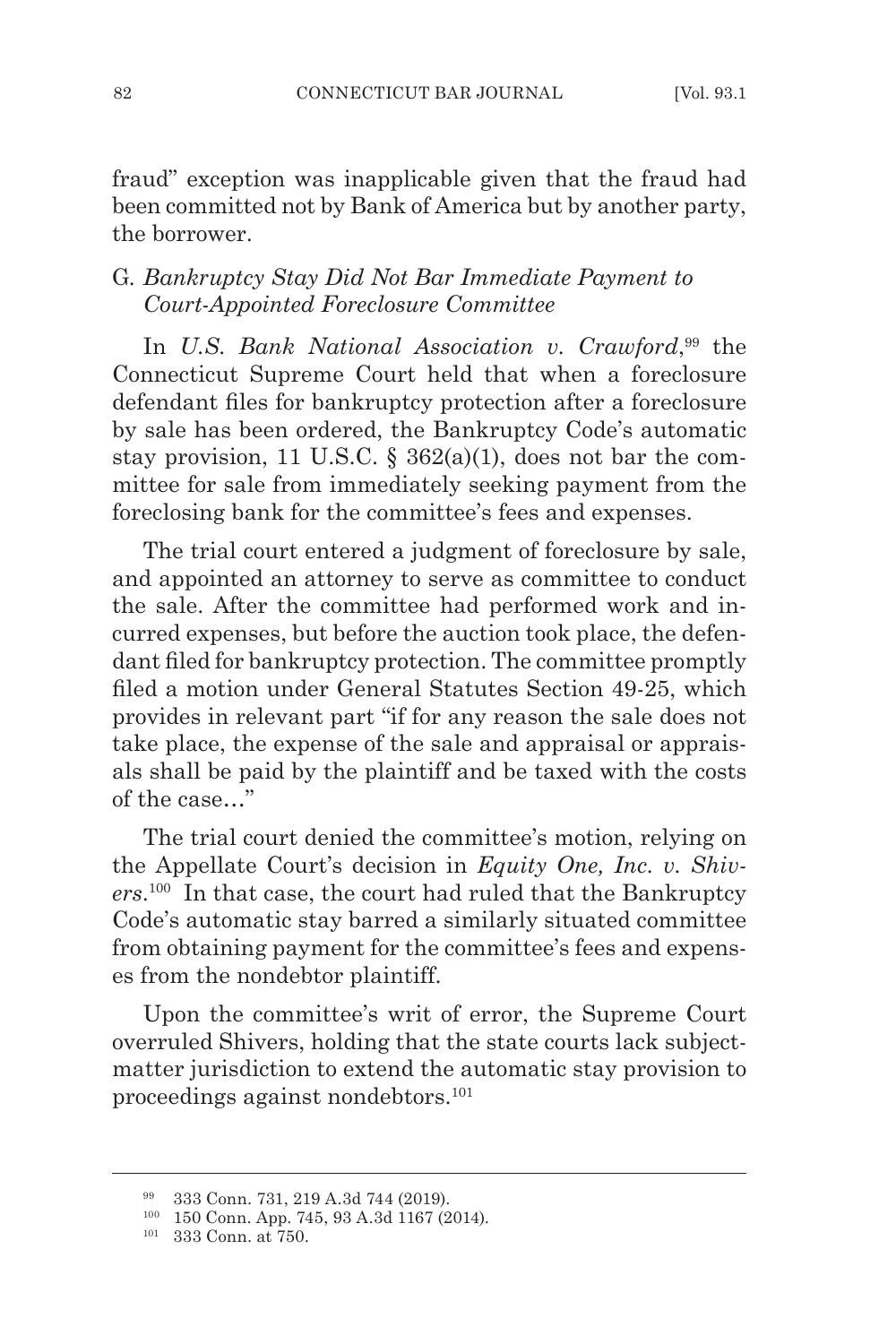fraud" exception was inapplicable given that the fraud had been committed not by Bank of America but by another party, the borrower.

# G*. Bankruptcy Stay Did Not Bar Immediate Payment to Court-Appointed Foreclosure Committee*

In *U.S. Bank National Association v. Crawford*, 99 the Connecticut Supreme Court held that when a foreclosure defendant files for bankruptcy protection after a foreclosure by sale has been ordered, the Bankruptcy Code's automatic stay provision, 11 U.S.C.  $\S$  362(a)(1), does not bar the committee for sale from immediately seeking payment from the foreclosing bank for the committee's fees and expenses.

The trial court entered a judgment of foreclosure by sale, and appointed an attorney to serve as committee to conduct the sale. After the committee had performed work and incurred expenses, but before the auction took place, the defendant filed for bankruptcy protection. The committee promptly filed a motion under General Statutes Section 49-25, which provides in relevant part "if for any reason the sale does not take place, the expense of the sale and appraisal or appraisals shall be paid by the plaintiff and be taxed with the costs of the case…"

The trial court denied the committee's motion, relying on the Appellate Court's decision in *Equity One, Inc. v. Shivers*. <sup>100</sup> In that case, the court had ruled that the Bankruptcy Code's automatic stay barred a similarly situated committee from obtaining payment for the committee's fees and expenses from the nondebtor plaintiff.

Upon the committee's writ of error, the Supreme Court overruled Shivers, holding that the state courts lack subjectmatter jurisdiction to extend the automatic stay provision to proceedings against nondebtors.101

<sup>99</sup> 333 Conn. 731, 219 A.3d 744 (2019).

<sup>100</sup> 150 Conn. App. 745, 93 A.3d 1167 (2014).

<sup>101</sup> 333 Conn. at 750.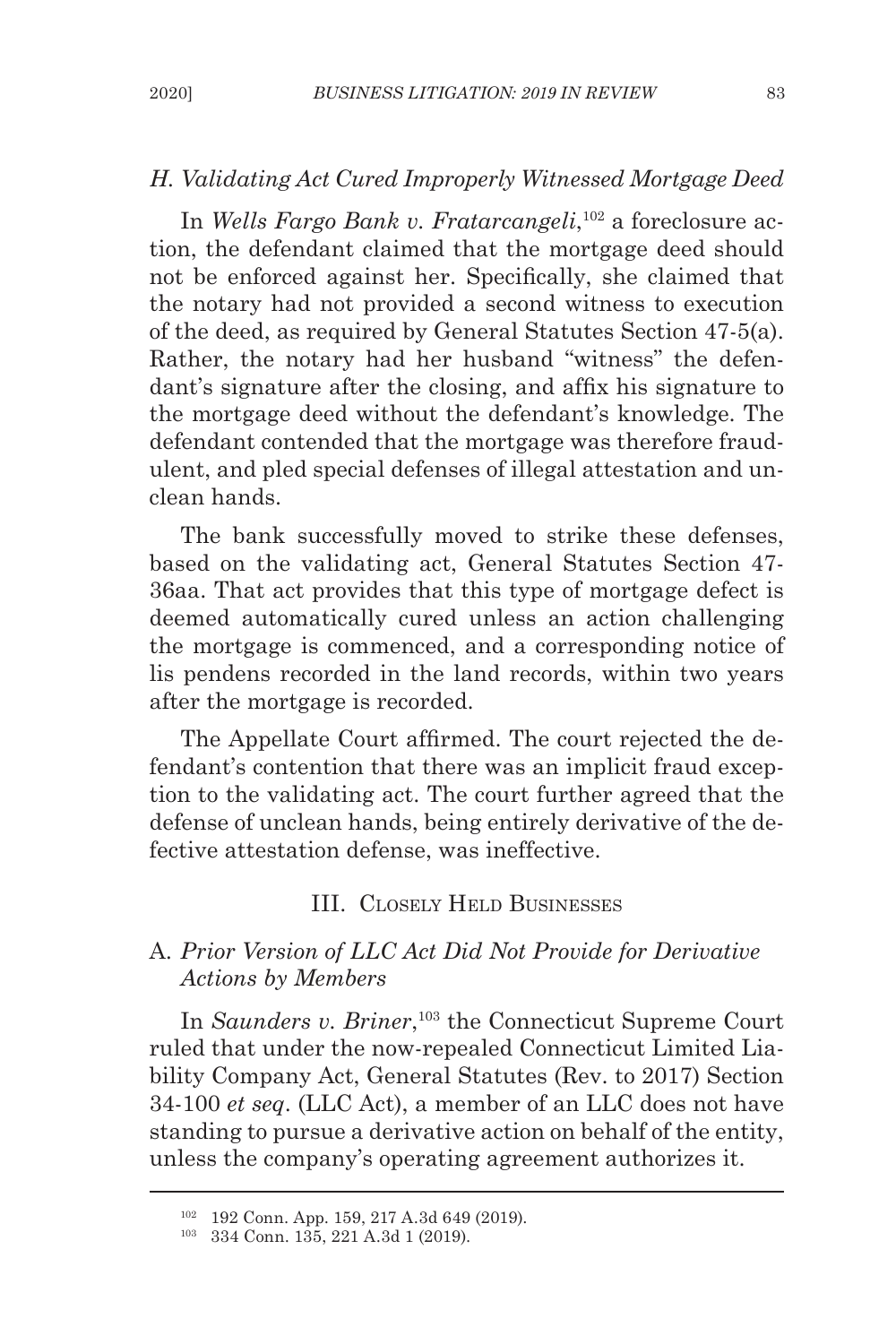#### *H. Validating Act Cured Improperly Witnessed Mortgage Deed*

In *Wells Fargo Bank v. Fratarcangeli*, 102 a foreclosure action, the defendant claimed that the mortgage deed should not be enforced against her. Specifically, she claimed that the notary had not provided a second witness to execution of the deed, as required by General Statutes Section 47-5(a). Rather, the notary had her husband "witness" the defendant's signature after the closing, and affix his signature to the mortgage deed without the defendant's knowledge. The defendant contended that the mortgage was therefore fraudulent, and pled special defenses of illegal attestation and unclean hands.

The bank successfully moved to strike these defenses, based on the validating act, General Statutes Section 47- 36aa. That act provides that this type of mortgage defect is deemed automatically cured unless an action challenging the mortgage is commenced, and a corresponding notice of lis pendens recorded in the land records, within two years after the mortgage is recorded.

The Appellate Court affirmed. The court rejected the defendant's contention that there was an implicit fraud exception to the validating act. The court further agreed that the defense of unclean hands, being entirely derivative of the defective attestation defense, was ineffective.

# III. Closely Held Businesses

## A*. Prior Version of LLC Act Did Not Provide for Derivative Actions by Members*

In *Saunders v. Briner*, 103 the Connecticut Supreme Court ruled that under the now-repealed Connecticut Limited Liability Company Act, General Statutes (Rev. to 2017) Section 34-100 *et seq*. (LLC Act), a member of an LLC does not have standing to pursue a derivative action on behalf of the entity, unless the company's operating agreement authorizes it.

<sup>102</sup> 192 Conn. App. 159, 217 A.3d 649 (2019).

<sup>103</sup> 334 Conn. 135, 221 A.3d 1 (2019).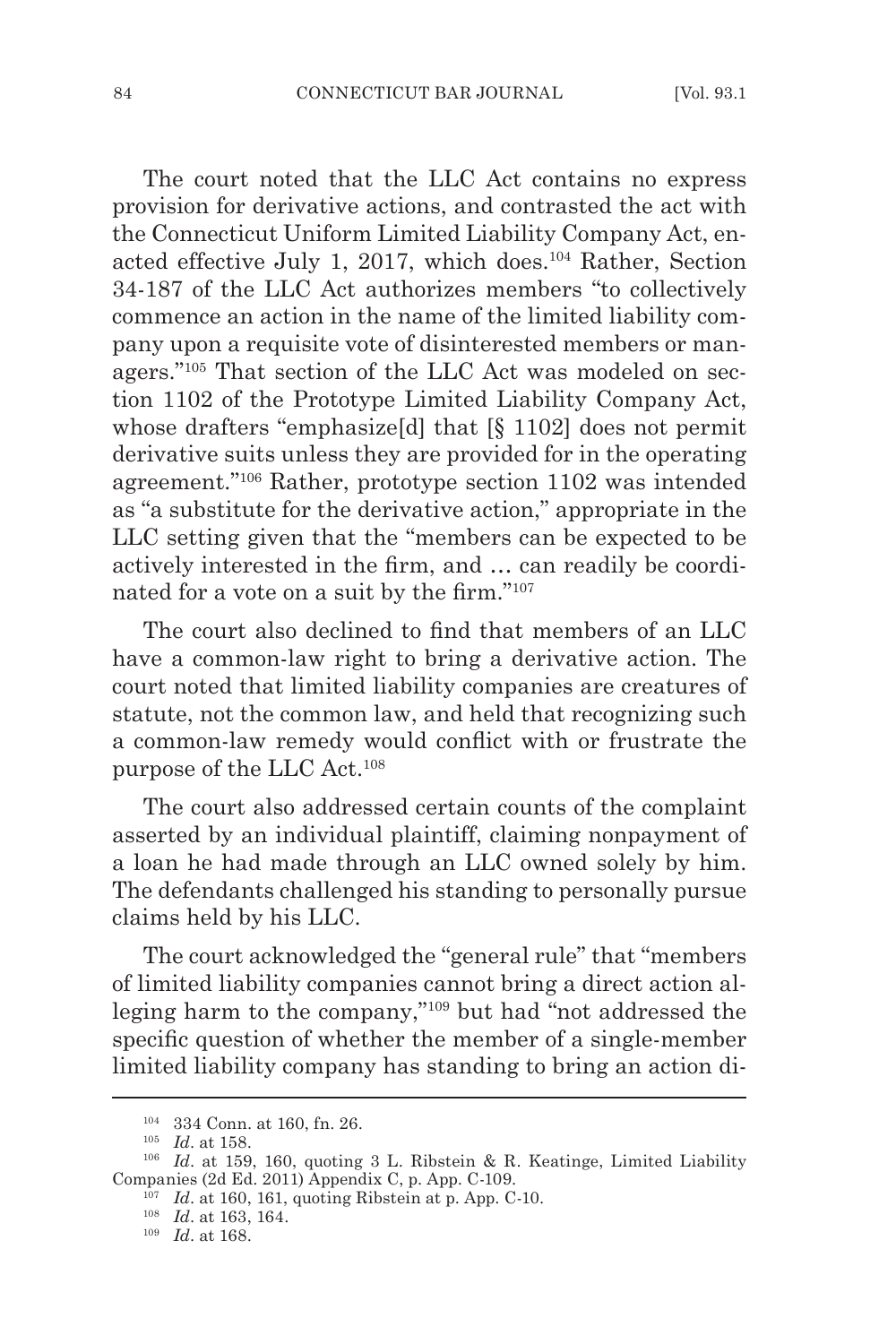The court noted that the LLC Act contains no express provision for derivative actions, and contrasted the act with the Connecticut Uniform Limited Liability Company Act, enacted effective July 1, 2017, which does.104 Rather, Section 34-187 of the LLC Act authorizes members "to collectively commence an action in the name of the limited liability company upon a requisite vote of disinterested members or managers."105 That section of the LLC Act was modeled on section 1102 of the Prototype Limited Liability Company Act, whose drafters "emphasize[d] that [§ 1102] does not permit derivative suits unless they are provided for in the operating agreement."106 Rather, prototype section 1102 was intended as "a substitute for the derivative action," appropriate in the LLC setting given that the "members can be expected to be actively interested in the firm, and … can readily be coordinated for a vote on a suit by the firm."107

The court also declined to find that members of an LLC have a common-law right to bring a derivative action. The court noted that limited liability companies are creatures of statute, not the common law, and held that recognizing such a common-law remedy would conflict with or frustrate the purpose of the LLC Act.<sup>108</sup>

The court also addressed certain counts of the complaint asserted by an individual plaintiff, claiming nonpayment of a loan he had made through an LLC owned solely by him. The defendants challenged his standing to personally pursue claims held by his LLC.

The court acknowledged the "general rule" that "members of limited liability companies cannot bring a direct action alleging harm to the company,"<sup>109</sup> but had "not addressed the specific question of whether the member of a single-member limited liability company has standing to bring an action di-

<sup>104</sup> 334 Conn. at 160, fn. 26.

<sup>105</sup> *Id*. at 158.

<sup>106</sup> *Id*. at 159, 160, quoting 3 L. Ribstein & R. Keatinge, Limited Liability Companies (2d Ed. 2011) Appendix C, p. App. C-109.

<sup>107</sup> *Id*. at 160, 161, quoting Ribstein at p. App. C-10.

<sup>108</sup> *Id*. at 163, 164.

<sup>109</sup> *Id*. at 168.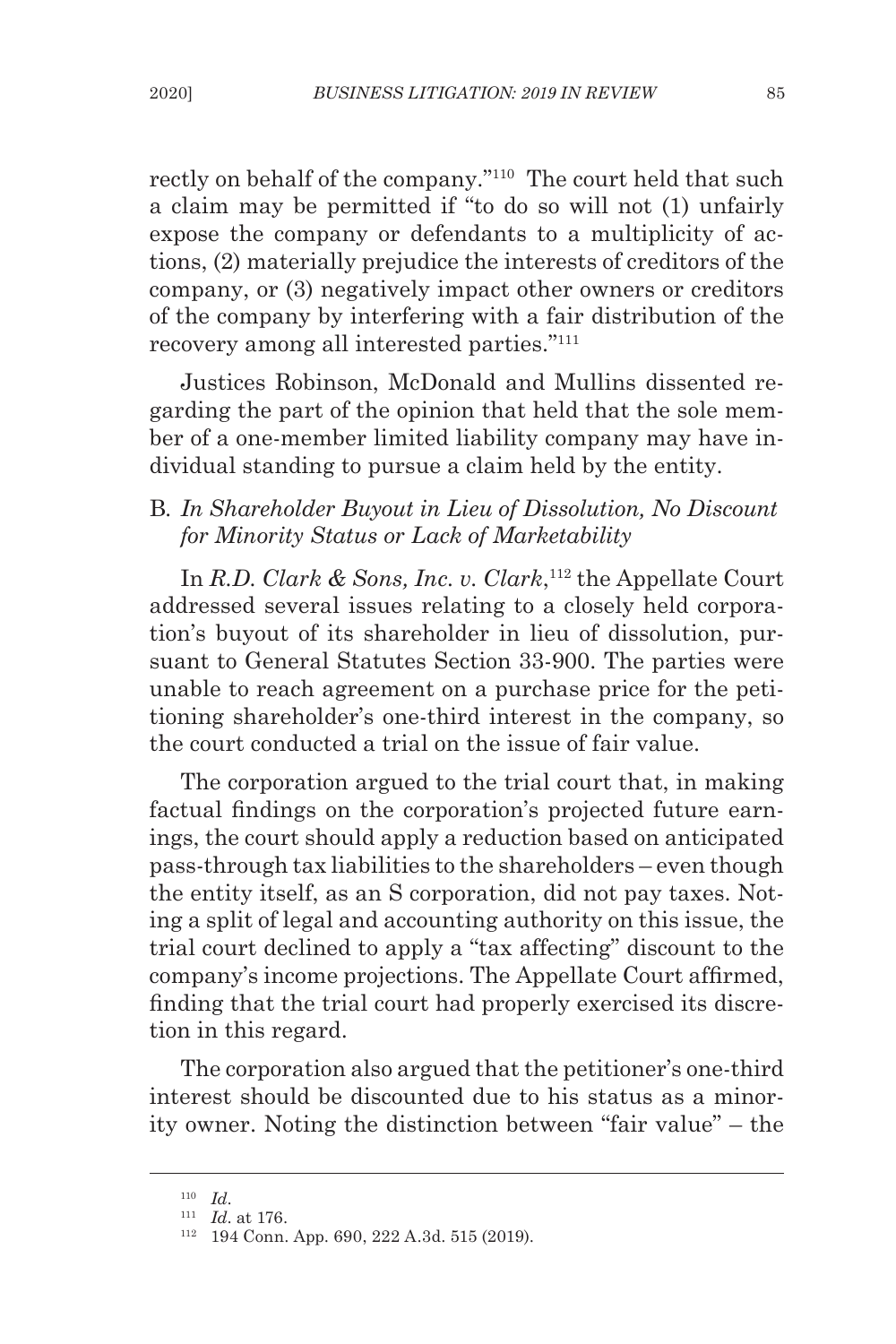rectly on behalf of the company."<sup>110</sup> The court held that such a claim may be permitted if "to do so will not (1) unfairly expose the company or defendants to a multiplicity of actions, (2) materially prejudice the interests of creditors of the company, or (3) negatively impact other owners or creditors of the company by interfering with a fair distribution of the recovery among all interested parties."<sup>111</sup>

Justices Robinson, McDonald and Mullins dissented regarding the part of the opinion that held that the sole member of a one-member limited liability company may have individual standing to pursue a claim held by the entity.

## B*. In Shareholder Buyout in Lieu of Dissolution, No Discount for Minority Status or Lack of Marketability*

In *R.D. Clark & Sons, Inc. v. Clark*, <sup>112</sup> the Appellate Court addressed several issues relating to a closely held corporation's buyout of its shareholder in lieu of dissolution, pursuant to General Statutes Section 33-900. The parties were unable to reach agreement on a purchase price for the petitioning shareholder's one-third interest in the company, so the court conducted a trial on the issue of fair value.

The corporation argued to the trial court that, in making factual findings on the corporation's projected future earnings, the court should apply a reduction based on anticipated pass-through tax liabilities to the shareholders – even though the entity itself, as an S corporation, did not pay taxes. Noting a split of legal and accounting authority on this issue, the trial court declined to apply a "tax affecting" discount to the company's income projections. The Appellate Court affirmed, finding that the trial court had properly exercised its discretion in this regard.

The corporation also argued that the petitioner's one-third interest should be discounted due to his status as a minority owner. Noting the distinction between "fair value" – the

<sup>110</sup> *Id*.

<sup>111</sup> *Id*. at 176.

<sup>112</sup> 194 Conn. App. 690, 222 A.3d. 515 (2019).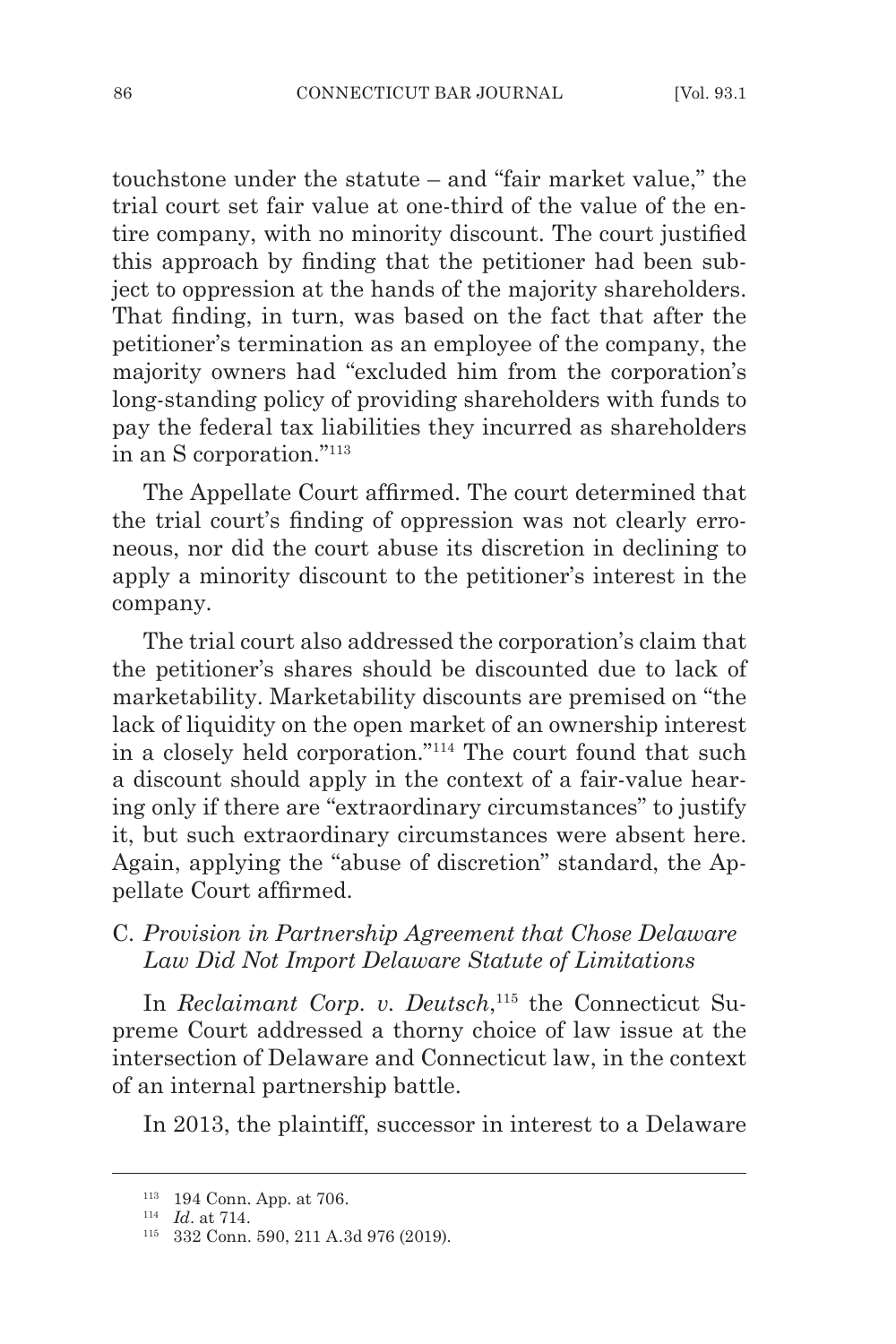touchstone under the statute – and "fair market value," the trial court set fair value at one-third of the value of the entire company, with no minority discount. The court justified this approach by finding that the petitioner had been subject to oppression at the hands of the majority shareholders. That finding, in turn, was based on the fact that after the petitioner's termination as an employee of the company, the majority owners had "excluded him from the corporation's long-standing policy of providing shareholders with funds to pay the federal tax liabilities they incurred as shareholders in an S corporation."<sup>113</sup>

The Appellate Court affirmed. The court determined that the trial court's finding of oppression was not clearly erroneous, nor did the court abuse its discretion in declining to apply a minority discount to the petitioner's interest in the company.

The trial court also addressed the corporation's claim that the petitioner's shares should be discounted due to lack of marketability. Marketability discounts are premised on "the lack of liquidity on the open market of an ownership interest in a closely held corporation."114 The court found that such a discount should apply in the context of a fair-value hearing only if there are "extraordinary circumstances" to justify it, but such extraordinary circumstances were absent here. Again, applying the "abuse of discretion" standard, the Appellate Court affirmed.

### C. *Provision in Partnership Agreement that Chose Delaware Law Did Not Import Delaware Statute of Limitations*

In *Reclaimant Corp. v. Deutsch*, 115 the Connecticut Supreme Court addressed a thorny choice of law issue at the intersection of Delaware and Connecticut law, in the context of an internal partnership battle.

In 2013, the plaintiff, successor in interest to a Delaware

<sup>113</sup> 194 Conn. App. at 706.

<sup>114</sup> *Id*. at 714.

<sup>115</sup> 332 Conn. 590, 211 A.3d 976 (2019).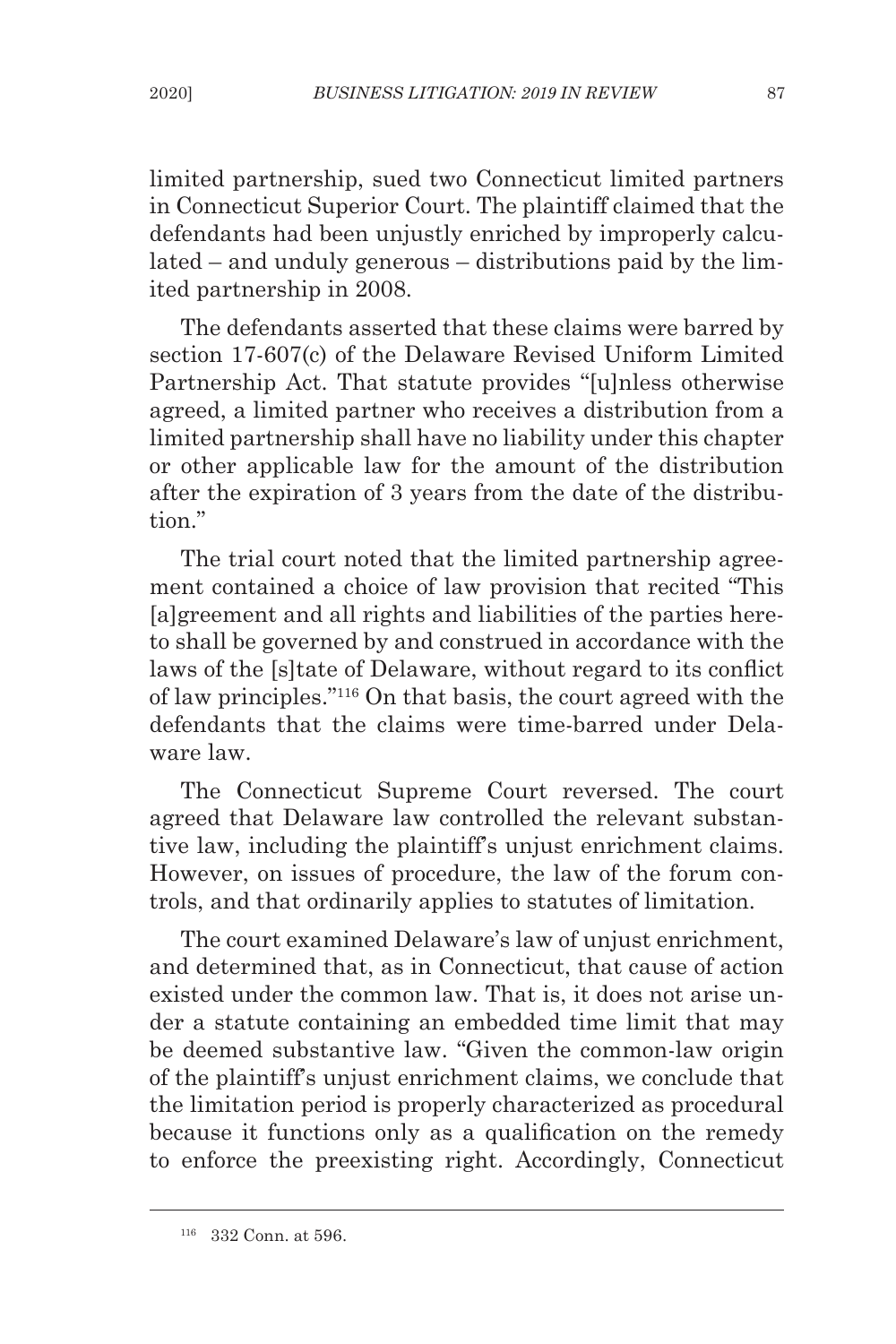limited partnership, sued two Connecticut limited partners in Connecticut Superior Court. The plaintiff claimed that the defendants had been unjustly enriched by improperly calculated – and unduly generous – distributions paid by the limited partnership in 2008.

The defendants asserted that these claims were barred by section 17-607(c) of the Delaware Revised Uniform Limited Partnership Act. That statute provides "[u]nless otherwise agreed, a limited partner who receives a distribution from a limited partnership shall have no liability under this chapter or other applicable law for the amount of the distribution after the expiration of 3 years from the date of the distribution."

The trial court noted that the limited partnership agreement contained a choice of law provision that recited "This [a]greement and all rights and liabilities of the parties hereto shall be governed by and construed in accordance with the laws of the [s]tate of Delaware, without regard to its conflict of law principles."116 On that basis, the court agreed with the defendants that the claims were time-barred under Delaware law.

The Connecticut Supreme Court reversed. The court agreed that Delaware law controlled the relevant substantive law, including the plaintiff's unjust enrichment claims. However, on issues of procedure, the law of the forum controls, and that ordinarily applies to statutes of limitation.

The court examined Delaware's law of unjust enrichment, and determined that, as in Connecticut, that cause of action existed under the common law. That is, it does not arise under a statute containing an embedded time limit that may be deemed substantive law. "Given the common-law origin of the plaintiff's unjust enrichment claims, we conclude that the limitation period is properly characterized as procedural because it functions only as a qualification on the remedy to enforce the preexisting right. Accordingly, Connecticut

<sup>116</sup> 332 Conn. at 596.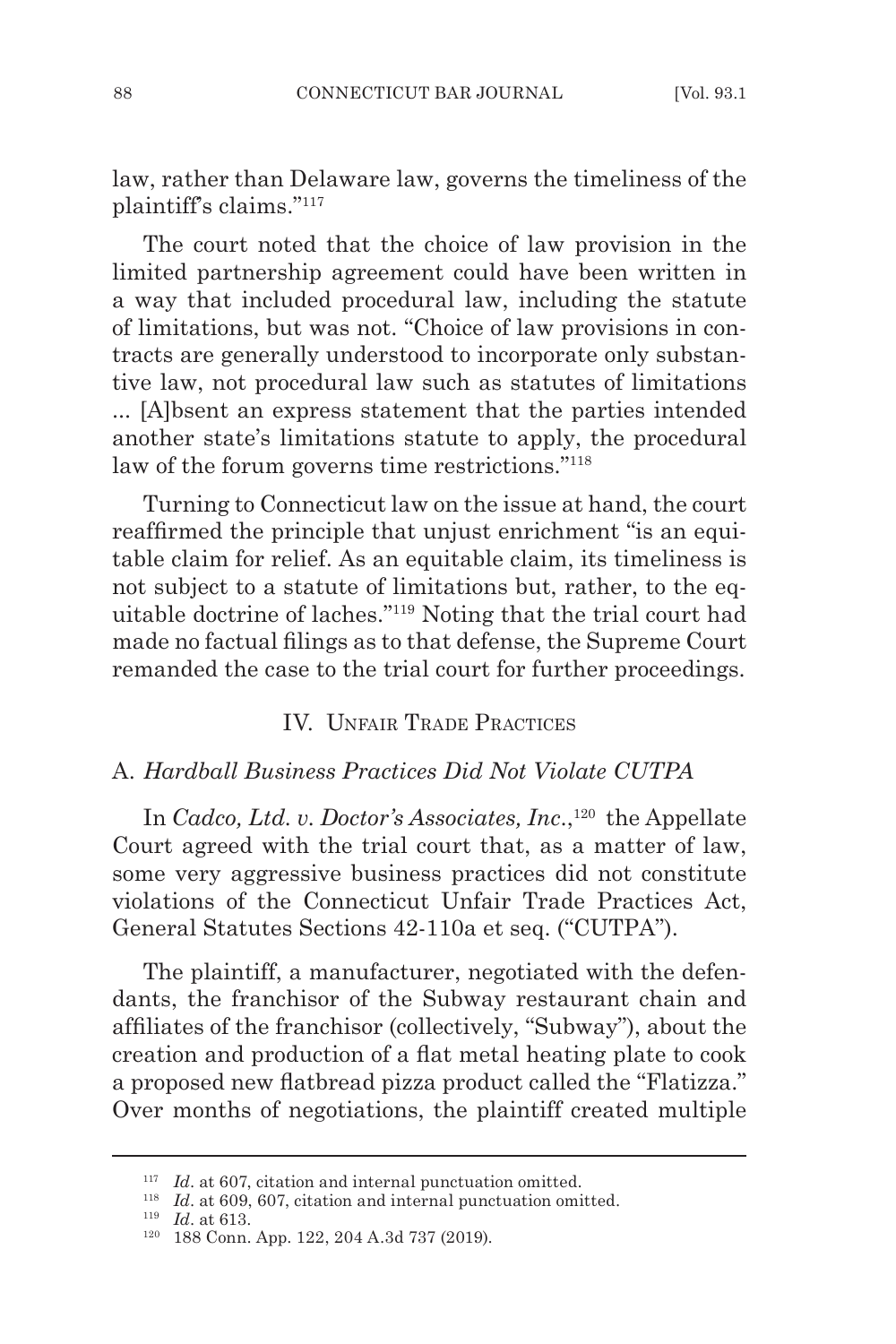law, rather than Delaware law, governs the timeliness of the plaintiff's claims."117

The court noted that the choice of law provision in the limited partnership agreement could have been written in a way that included procedural law, including the statute of limitations, but was not. "Choice of law provisions in contracts are generally understood to incorporate only substantive law, not procedural law such as statutes of limitations ... [A]bsent an express statement that the parties intended another state's limitations statute to apply, the procedural law of the forum governs time restrictions."118

Turning to Connecticut law on the issue at hand, the court reaffirmed the principle that unjust enrichment "is an equitable claim for relief. As an equitable claim, its timeliness is not subject to a statute of limitations but, rather, to the equitable doctrine of laches."<sup>119</sup> Noting that the trial court had made no factual filings as to that defense, the Supreme Court remanded the case to the trial court for further proceedings.

### IV. Unfair Trade Practices

#### A. *Hardball Business Practices Did Not Violate CUTPA*

In *Cadco, Ltd. v. Doctor's Associates, Inc.*,<sup>120</sup> the Appellate Court agreed with the trial court that, as a matter of law, some very aggressive business practices did not constitute violations of the Connecticut Unfair Trade Practices Act, General Statutes Sections 42-110a et seq. ("CUTPA").

The plaintiff, a manufacturer, negotiated with the defendants, the franchisor of the Subway restaurant chain and affiliates of the franchisor (collectively, "Subway"), about the creation and production of a flat metal heating plate to cook a proposed new flatbread pizza product called the "Flatizza." Over months of negotiations, the plaintiff created multiple

<sup>&</sup>lt;sup>117</sup> *Id.* at 607, citation and internal punctuation omitted.

<sup>118</sup> *Id*. at 609, 607, citation and internal punctuation omitted.

<sup>119</sup> *Id*. at 613.

<sup>120</sup> 188 Conn. App. 122, 204 A.3d 737 (2019).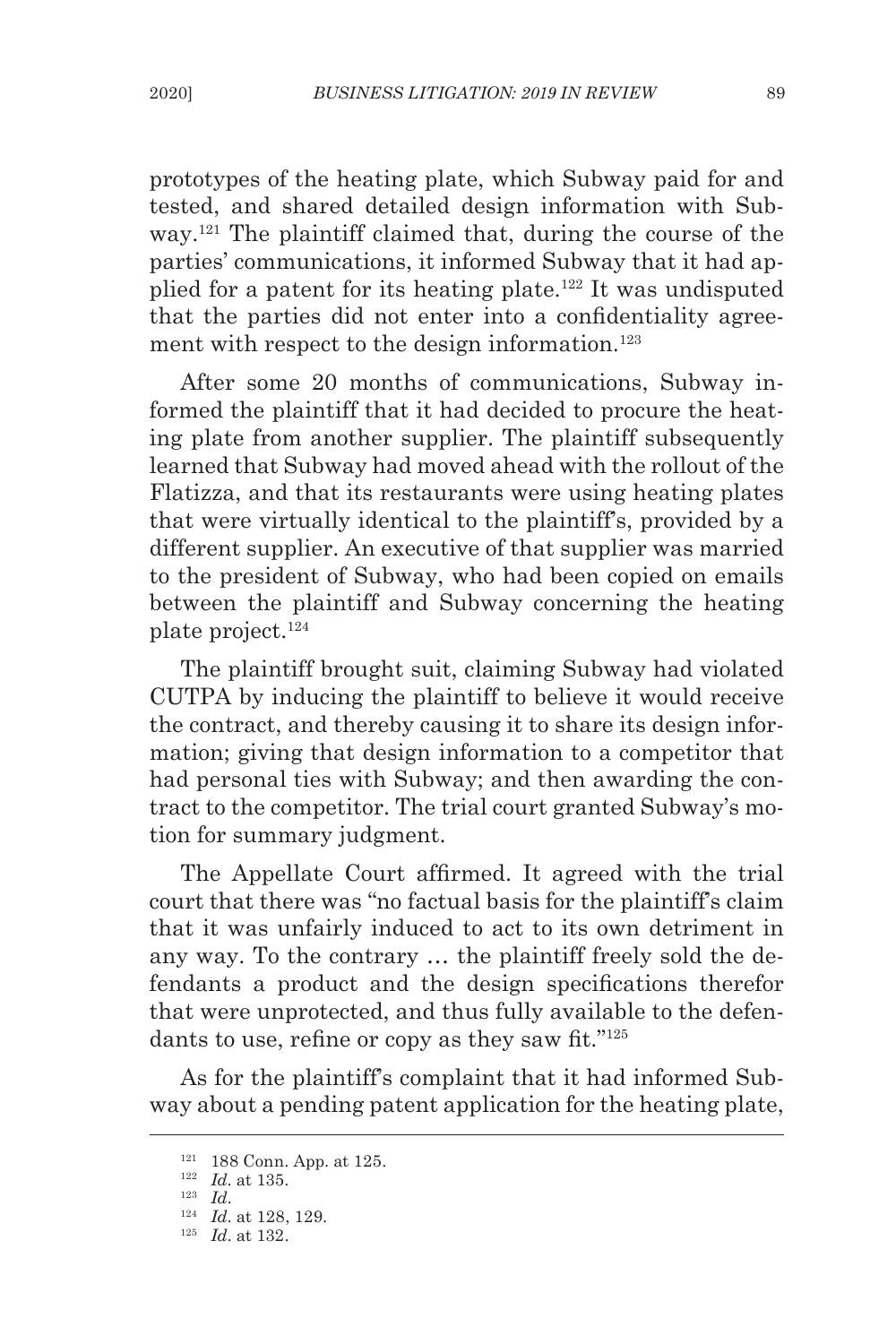prototypes of the heating plate, which Subway paid for and tested, and shared detailed design information with Subway.121 The plaintiff claimed that, during the course of the parties' communications, it informed Subway that it had applied for a patent for its heating plate.<sup>122</sup> It was undisputed that the parties did not enter into a confidentiality agreement with respect to the design information.<sup>123</sup>

After some 20 months of communications, Subway informed the plaintiff that it had decided to procure the heating plate from another supplier. The plaintiff subsequently learned that Subway had moved ahead with the rollout of the Flatizza, and that its restaurants were using heating plates that were virtually identical to the plaintiff's, provided by a different supplier. An executive of that supplier was married to the president of Subway, who had been copied on emails between the plaintiff and Subway concerning the heating plate project.<sup>124</sup>

The plaintiff brought suit, claiming Subway had violated CUTPA by inducing the plaintiff to believe it would receive the contract, and thereby causing it to share its design information; giving that design information to a competitor that had personal ties with Subway; and then awarding the contract to the competitor. The trial court granted Subway's motion for summary judgment.

The Appellate Court affirmed. It agreed with the trial court that there was "no factual basis for the plaintiff's claim that it was unfairly induced to act to its own detriment in any way. To the contrary … the plaintiff freely sold the defendants a product and the design specifications therefor that were unprotected, and thus fully available to the defendants to use, refine or copy as they saw fit."<sup>125</sup>

As for the plaintiff's complaint that it had informed Subway about a pending patent application for the heating plate,

<sup>121</sup> 188 Conn. App. at 125.

<sup>122</sup> *Id*. at 135.

<sup>123</sup> *Id*.

<sup>124</sup> *Id*. at 128, 129.

<sup>125</sup> *Id*. at 132.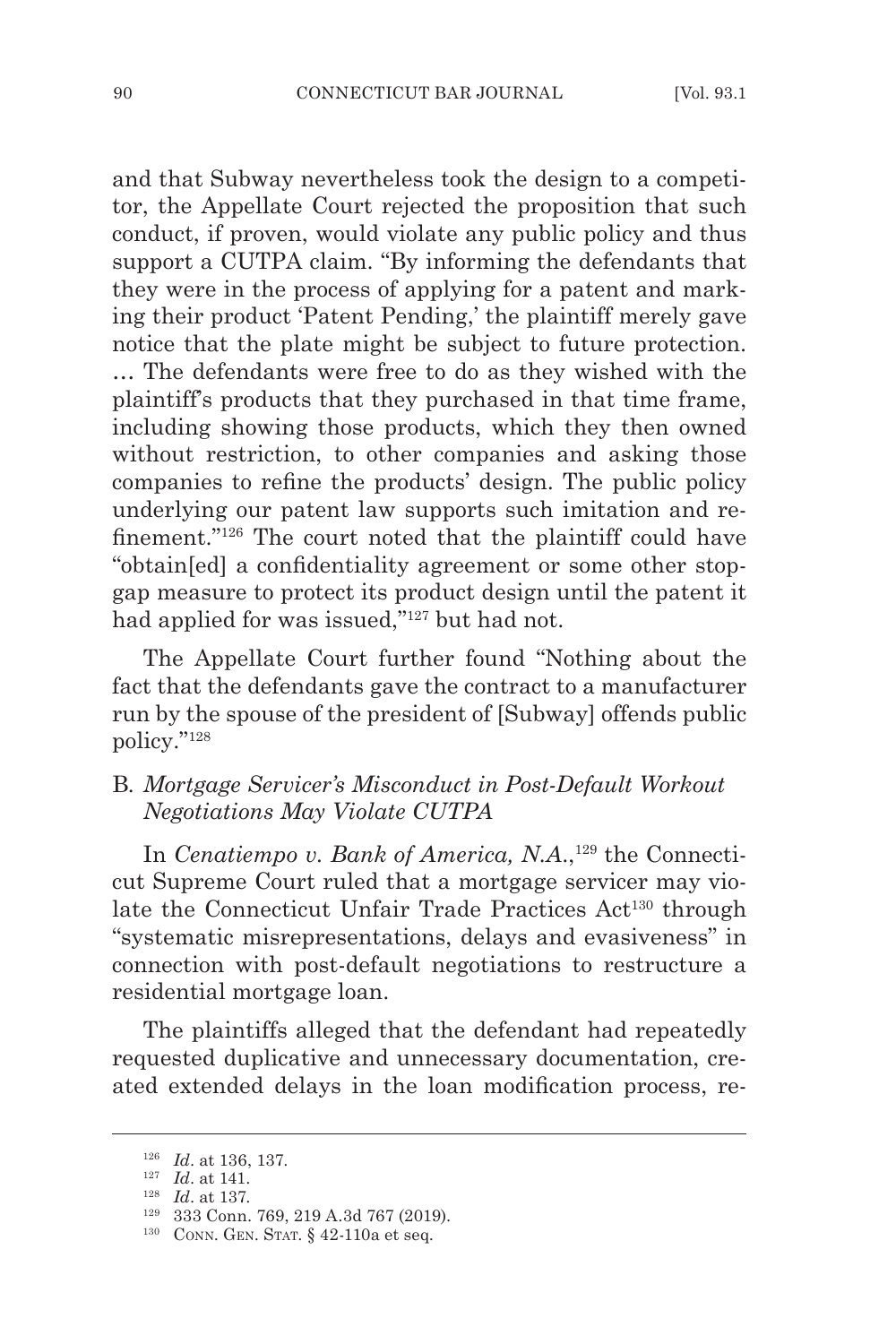and that Subway nevertheless took the design to a competitor, the Appellate Court rejected the proposition that such conduct, if proven, would violate any public policy and thus support a CUTPA claim. "By informing the defendants that they were in the process of applying for a patent and marking their product 'Patent Pending,' the plaintiff merely gave notice that the plate might be subject to future protection. … The defendants were free to do as they wished with the plaintiff's products that they purchased in that time frame, including showing those products, which they then owned without restriction, to other companies and asking those companies to refine the products' design. The public policy underlying our patent law supports such imitation and refinement."126 The court noted that the plaintiff could have "obtain[ed] a confidentiality agreement or some other stopgap measure to protect its product design until the patent it had applied for was issued,"127 but had not.

The Appellate Court further found "Nothing about the fact that the defendants gave the contract to a manufacturer run by the spouse of the president of [Subway] offends public policy."128

# B*. Mortgage Servicer's Misconduct in Post-Default Workout Negotiations May Violate CUTPA*

In *Cenatiempo v. Bank of America, N.A.*,<sup>129</sup> the Connecticut Supreme Court ruled that a mortgage servicer may violate the Connecticut Unfair Trade Practices Act<sup>130</sup> through "systematic misrepresentations, delays and evasiveness" in connection with post-default negotiations to restructure a residential mortgage loan.

The plaintiffs alleged that the defendant had repeatedly requested duplicative and unnecessary documentation, created extended delays in the loan modification process, re-

<sup>126</sup> *Id*. at 136, 137.

<sup>127</sup> *Id*. at 141.

<sup>128</sup> *Id*. at 137.

<sup>129</sup> 333 Conn. 769, 219 A.3d 767 (2019).

<sup>&</sup>lt;sup>130</sup> CONN. GEN. STAT. § 42-110a et seq.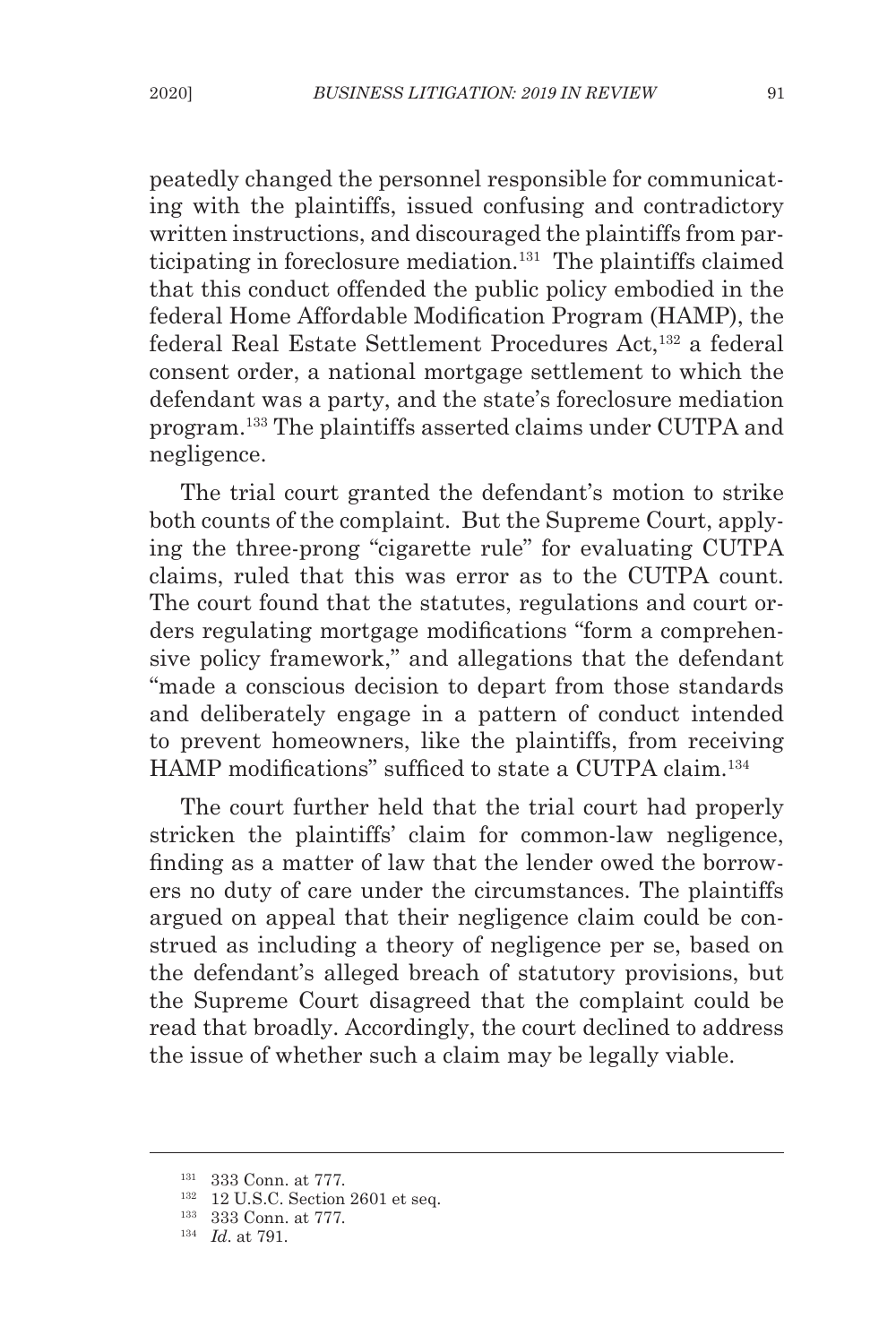peatedly changed the personnel responsible for communicating with the plaintiffs, issued confusing and contradictory written instructions, and discouraged the plaintiffs from participating in foreclosure mediation.<sup>131</sup> The plaintiffs claimed that this conduct offended the public policy embodied in the federal Home Affordable Modification Program (HAMP), the federal Real Estate Settlement Procedures Act,<sup>132</sup> a federal consent order, a national mortgage settlement to which the defendant was a party, and the state's foreclosure mediation program.133 The plaintiffs asserted claims under CUTPA and negligence.

The trial court granted the defendant's motion to strike both counts of the complaint. But the Supreme Court, applying the three-prong "cigarette rule" for evaluating CUTPA claims, ruled that this was error as to the CUTPA count. The court found that the statutes, regulations and court orders regulating mortgage modifications "form a comprehensive policy framework," and allegations that the defendant "made a conscious decision to depart from those standards and deliberately engage in a pattern of conduct intended to prevent homeowners, like the plaintiffs, from receiving HAMP modifications" sufficed to state a CUTPA claim.134

The court further held that the trial court had properly stricken the plaintiffs' claim for common-law negligence, finding as a matter of law that the lender owed the borrowers no duty of care under the circumstances. The plaintiffs argued on appeal that their negligence claim could be construed as including a theory of negligence per se, based on the defendant's alleged breach of statutory provisions, but the Supreme Court disagreed that the complaint could be read that broadly. Accordingly, the court declined to address the issue of whether such a claim may be legally viable.

<sup>131</sup> 333 Conn. at 777.

<sup>132</sup> 12 U.S.C. Section 2601 et seq.

<sup>133</sup> 333 Conn. at 777.

<sup>134</sup> *Id*. at 791.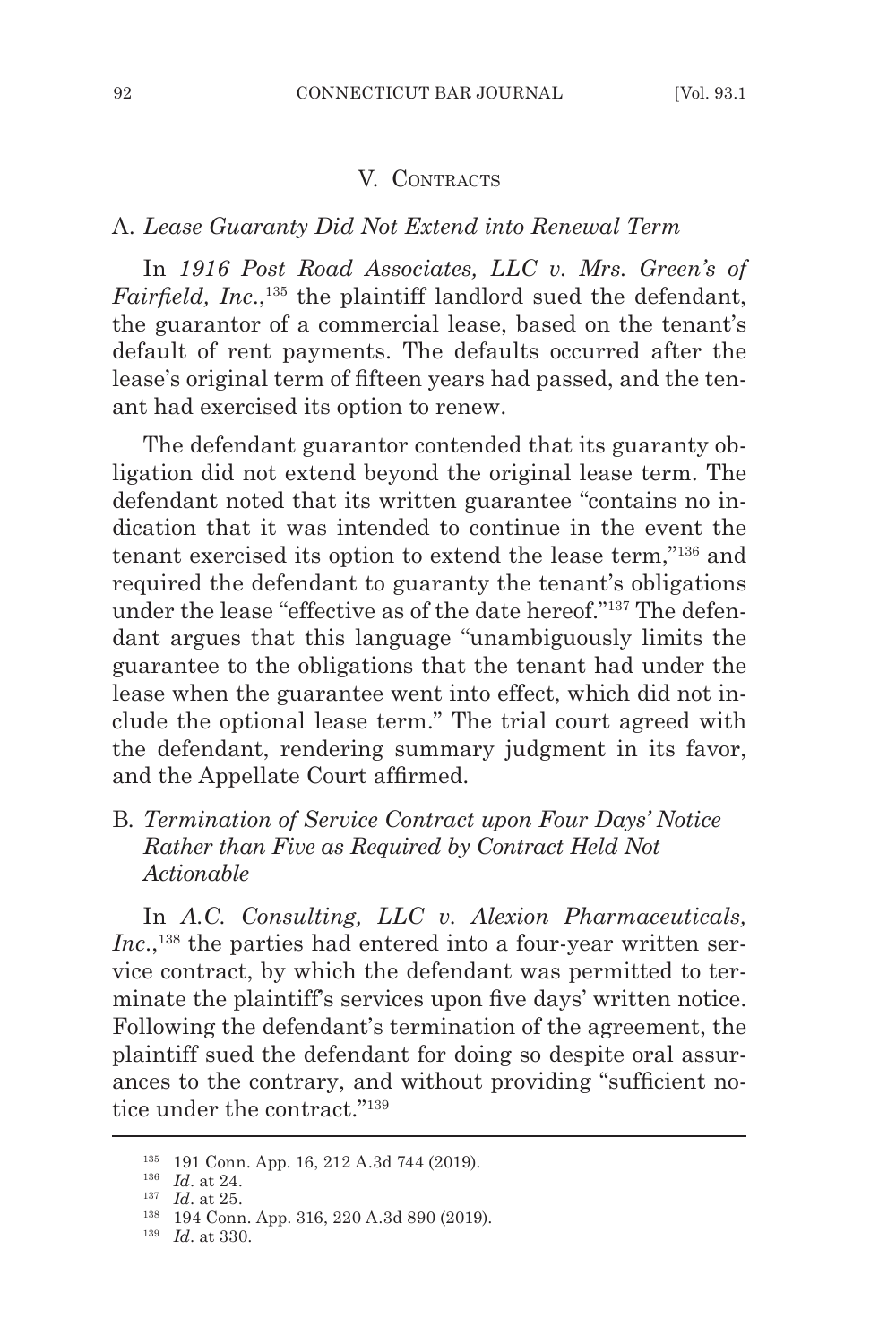#### V. CONTRACTS

### A. *Lease Guaranty Did Not Extend into Renewal Term*

In *1916 Post Road Associates, LLC v. Mrs. Green's of Fairfield, Inc.*,<sup>135</sup> the plaintiff landlord sued the defendant, the guarantor of a commercial lease, based on the tenant's default of rent payments. The defaults occurred after the lease's original term of fifteen years had passed, and the tenant had exercised its option to renew.

The defendant guarantor contended that its guaranty obligation did not extend beyond the original lease term. The defendant noted that its written guarantee "contains no indication that it was intended to continue in the event the tenant exercised its option to extend the lease term,"136 and required the defendant to guaranty the tenant's obligations under the lease "effective as of the date hereof."137 The defendant argues that this language "unambiguously limits the guarantee to the obligations that the tenant had under the lease when the guarantee went into effect, which did not include the optional lease term." The trial court agreed with the defendant, rendering summary judgment in its favor, and the Appellate Court affirmed.

B*. Termination of Service Contract upon Four Days' Notice Rather than Five as Required by Contract Held Not Actionable* 

In *A.C. Consulting, LLC v. Alexion Pharmaceuticals, Inc.*,<sup>138</sup> the parties had entered into a four-year written service contract, by which the defendant was permitted to terminate the plaintiff's services upon five days' written notice. Following the defendant's termination of the agreement, the plaintiff sued the defendant for doing so despite oral assurances to the contrary, and without providing "sufficient notice under the contract."139

<sup>135</sup> 191 Conn. App. 16, 212 A.3d 744 (2019).

<sup>136</sup> *Id*. at 24.

<sup>137</sup> *Id*. at 25.

<sup>138</sup> 194 Conn. App. 316, 220 A.3d 890 (2019).

<sup>139</sup> *Id*. at 330.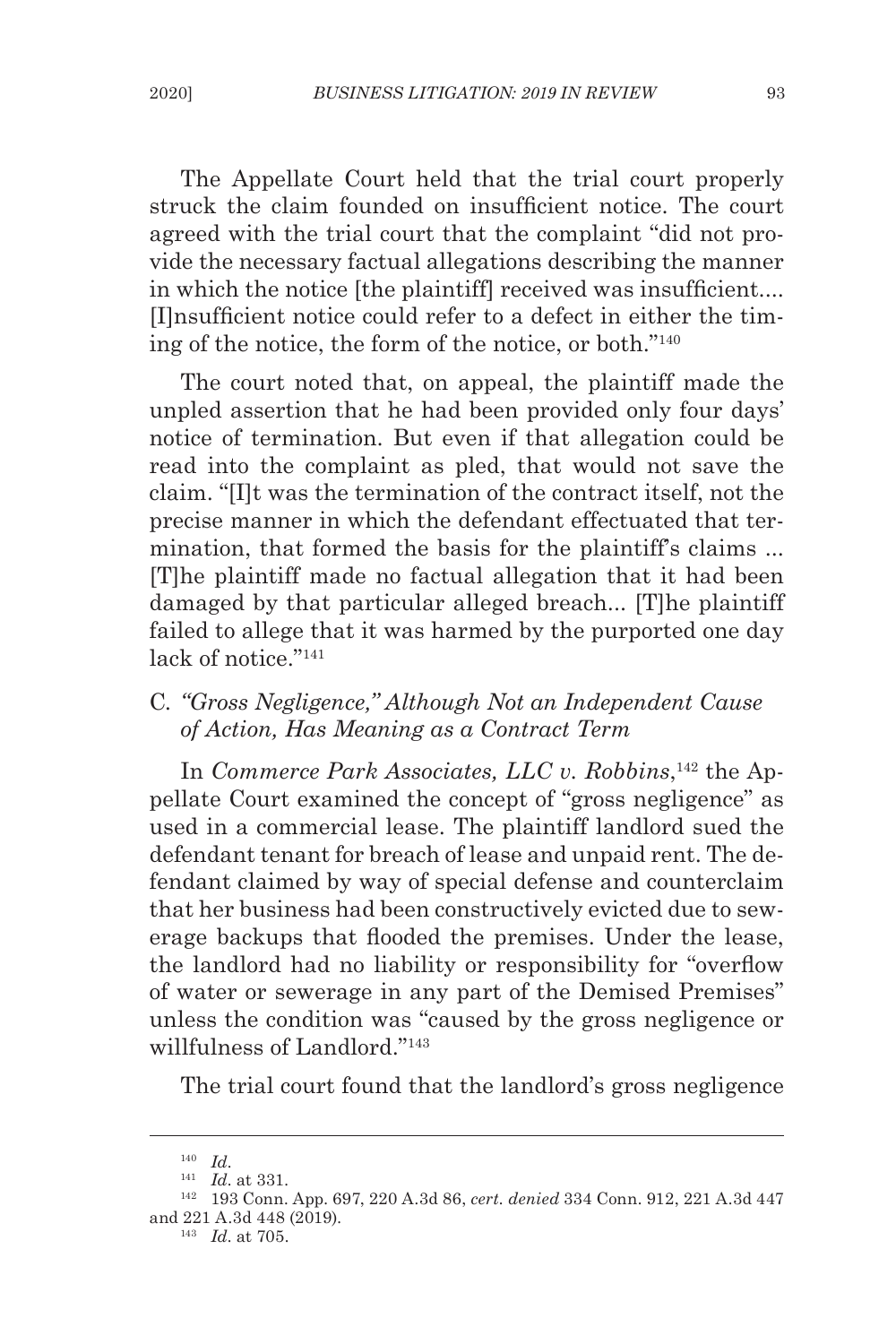The Appellate Court held that the trial court properly struck the claim founded on insufficient notice. The court agreed with the trial court that the complaint "did not provide the necessary factual allegations describing the manner in which the notice [the plaintiff] received was insufficient.... [I]nsufficient notice could refer to a defect in either the timing of the notice, the form of the notice, or both."140

The court noted that, on appeal, the plaintiff made the unpled assertion that he had been provided only four days' notice of termination. But even if that allegation could be read into the complaint as pled, that would not save the claim. "[I]t was the termination of the contract itself, not the precise manner in which the defendant effectuated that termination, that formed the basis for the plaintiff's claims ... [T]he plaintiff made no factual allegation that it had been damaged by that particular alleged breach... [T]he plaintiff failed to allege that it was harmed by the purported one day lack of notice."<sup>141</sup>

# C*. "Gross Negligence," Although Not an Independent Cause of Action, Has Meaning as a Contract Term*

In *Commerce Park Associates, LLC v. Robbins*, 142 the Appellate Court examined the concept of "gross negligence" as used in a commercial lease. The plaintiff landlord sued the defendant tenant for breach of lease and unpaid rent. The defendant claimed by way of special defense and counterclaim that her business had been constructively evicted due to sewerage backups that flooded the premises. Under the lease, the landlord had no liability or responsibility for "overflow of water or sewerage in any part of the Demised Premises" unless the condition was "caused by the gross negligence or willfulness of Landlord."143

The trial court found that the landlord's gross negligence

<sup>143</sup> *Id*. at 705.

<sup>140</sup> *Id*.

<sup>141</sup> *Id*. at 331.

<sup>142</sup> 193 Conn. App. 697, 220 A.3d 86, *cert. denied* 334 Conn. 912, 221 A.3d 447 and 221 A.3d 448 (2019).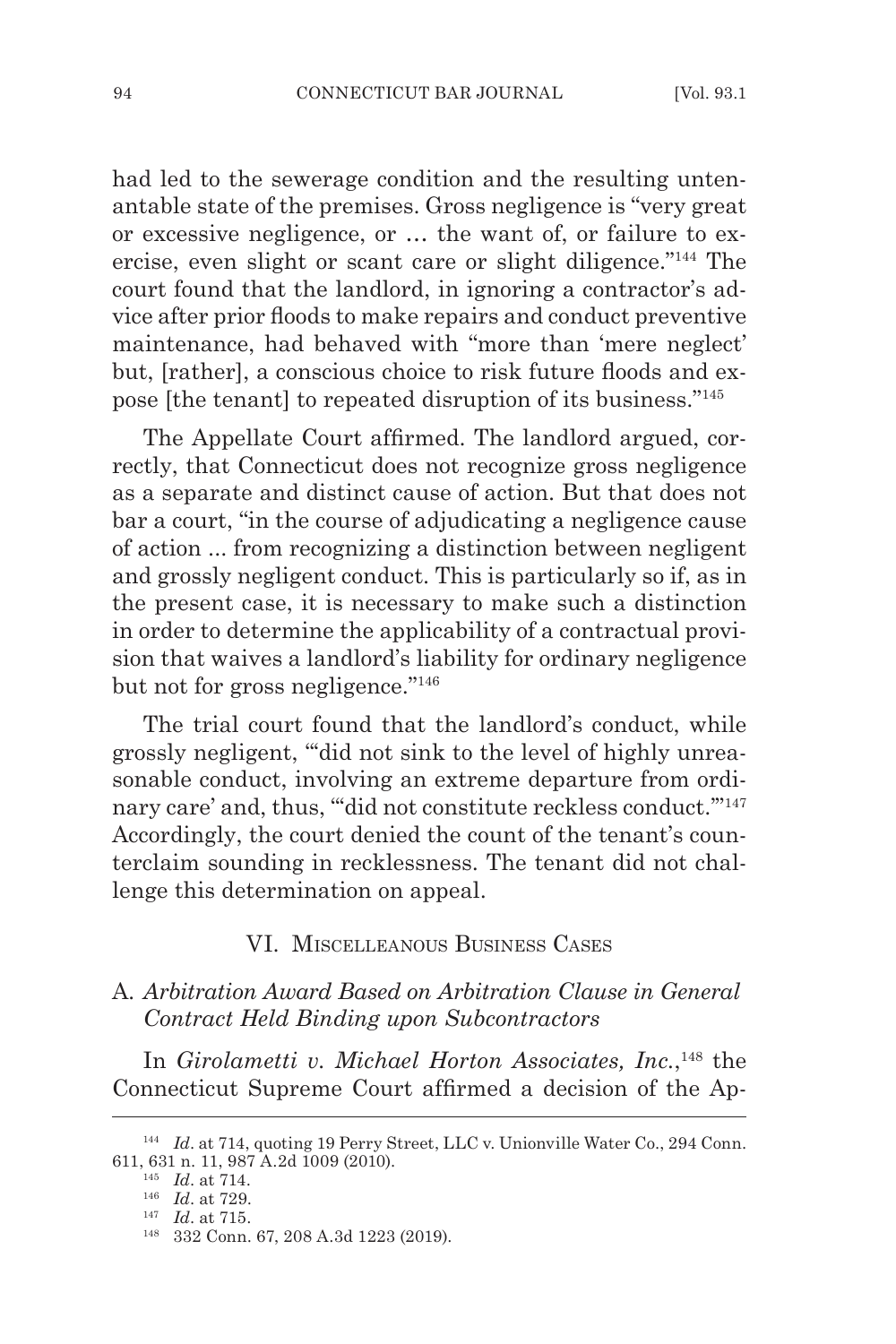had led to the sewerage condition and the resulting untenantable state of the premises. Gross negligence is "very great or excessive negligence, or … the want of, or failure to exercise, even slight or scant care or slight diligence."144 The court found that the landlord, in ignoring a contractor's advice after prior floods to make repairs and conduct preventive maintenance, had behaved with "more than 'mere neglect' but, [rather], a conscious choice to risk future floods and expose [the tenant] to repeated disruption of its business."145

The Appellate Court affirmed. The landlord argued, correctly, that Connecticut does not recognize gross negligence as a separate and distinct cause of action. But that does not bar a court, "in the course of adjudicating a negligence cause of action ... from recognizing a distinction between negligent and grossly negligent conduct. This is particularly so if, as in the present case, it is necessary to make such a distinction in order to determine the applicability of a contractual provision that waives a landlord's liability for ordinary negligence but not for gross negligence."146

The trial court found that the landlord's conduct, while grossly negligent, "'did not sink to the level of highly unreasonable conduct, involving an extreme departure from ordinary care' and, thus, ""did not constitute reckless conduct."<sup>147</sup> Accordingly, the court denied the count of the tenant's counterclaim sounding in recklessness. The tenant did not challenge this determination on appeal.

### VI. Miscelleanous Business Cases

# A*. Arbitration Award Based on Arbitration Clause in General Contract Held Binding upon Subcontractors*

In *Girolametti v. Michael Horton Associates, Inc.*, <sup>148</sup> the Connecticut Supreme Court affirmed a decision of the Ap-

<sup>&</sup>lt;sup>144</sup> *Id.* at 714, quoting 19 Perry Street, LLC v. Unionville Water Co., 294 Conn. 611, 631 n. 11, 987 A.2d 1009 (2010).

<sup>145</sup> *Id*. at 714.

<sup>146</sup> *Id*. at 729.

<sup>147</sup> *Id*. at 715.

<sup>148</sup> 332 Conn. 67, 208 A.3d 1223 (2019).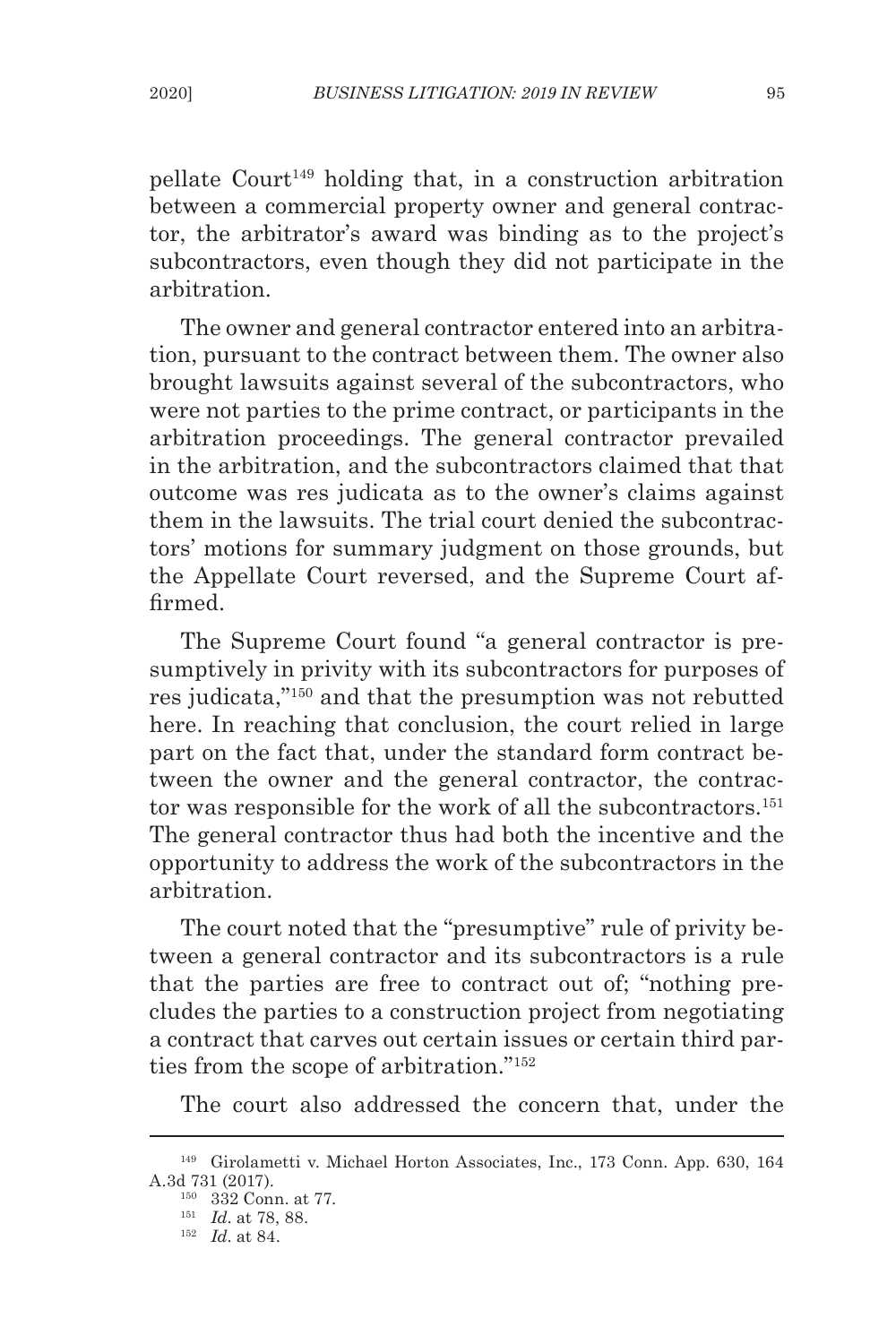pellate Court149 holding that, in a construction arbitration between a commercial property owner and general contractor, the arbitrator's award was binding as to the project's subcontractors, even though they did not participate in the arbitration.

The owner and general contractor entered into an arbitration, pursuant to the contract between them. The owner also brought lawsuits against several of the subcontractors, who were not parties to the prime contract, or participants in the arbitration proceedings. The general contractor prevailed in the arbitration, and the subcontractors claimed that that outcome was res judicata as to the owner's claims against them in the lawsuits. The trial court denied the subcontractors' motions for summary judgment on those grounds, but the Appellate Court reversed, and the Supreme Court affirmed.

The Supreme Court found "a general contractor is presumptively in privity with its subcontractors for purposes of res judicata,"150 and that the presumption was not rebutted here. In reaching that conclusion, the court relied in large part on the fact that, under the standard form contract between the owner and the general contractor, the contractor was responsible for the work of all the subcontractors.<sup>151</sup> The general contractor thus had both the incentive and the opportunity to address the work of the subcontractors in the arbitration.

The court noted that the "presumptive" rule of privity between a general contractor and its subcontractors is a rule that the parties are free to contract out of; "nothing precludes the parties to a construction project from negotiating a contract that carves out certain issues or certain third parties from the scope of arbitration."152

The court also addressed the concern that, under the

<sup>149</sup> Girolametti v. Michael Horton Associates, Inc., 173 Conn. App. 630, 164 A.3d 731 (2017).

<sup>150</sup> 332 Conn. at 77.

<sup>151</sup> *Id*. at 78, 88.

<sup>152</sup> *Id*. at 84.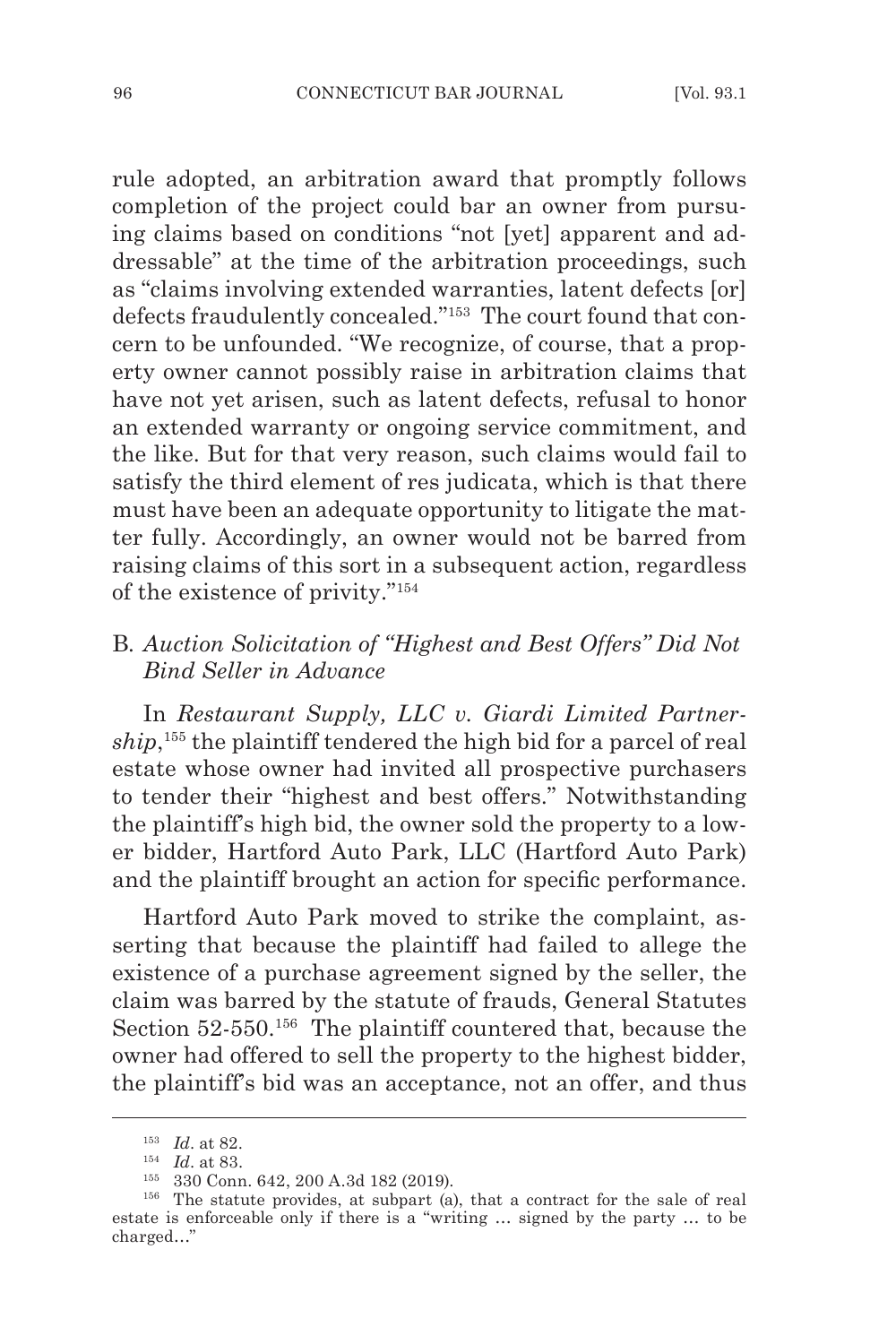rule adopted, an arbitration award that promptly follows completion of the project could bar an owner from pursuing claims based on conditions "not [yet] apparent and addressable" at the time of the arbitration proceedings, such as "claims involving extended warranties, latent defects [or] defects fraudulently concealed."153 The court found that concern to be unfounded. "We recognize, of course, that a property owner cannot possibly raise in arbitration claims that have not yet arisen, such as latent defects, refusal to honor an extended warranty or ongoing service commitment, and the like. But for that very reason, such claims would fail to satisfy the third element of res judicata, which is that there must have been an adequate opportunity to litigate the matter fully. Accordingly, an owner would not be barred from raising claims of this sort in a subsequent action, regardless of the existence of privity."154

# B*. Auction Solicitation of "Highest and Best Offers" Did Not Bind Seller in Advance*

In *Restaurant Supply, LLC v. Giardi Limited Partnership*, 155 the plaintiff tendered the high bid for a parcel of real estate whose owner had invited all prospective purchasers to tender their "highest and best offers." Notwithstanding the plaintiff's high bid, the owner sold the property to a lower bidder, Hartford Auto Park, LLC (Hartford Auto Park) and the plaintiff brought an action for specific performance.

Hartford Auto Park moved to strike the complaint, asserting that because the plaintiff had failed to allege the existence of a purchase agreement signed by the seller, the claim was barred by the statute of frauds, General Statutes Section 52-550.<sup>156</sup> The plaintiff countered that, because the owner had offered to sell the property to the highest bidder, the plaintiff's bid was an acceptance, not an offer, and thus

<sup>153</sup> *Id*. at 82.

<sup>154</sup> *Id*. at 83.

<sup>155</sup> 330 Conn. 642, 200 A.3d 182 (2019).

<sup>156</sup> The statute provides, at subpart (a), that a contract for the sale of real estate is enforceable only if there is a "writing … signed by the party … to be charged…"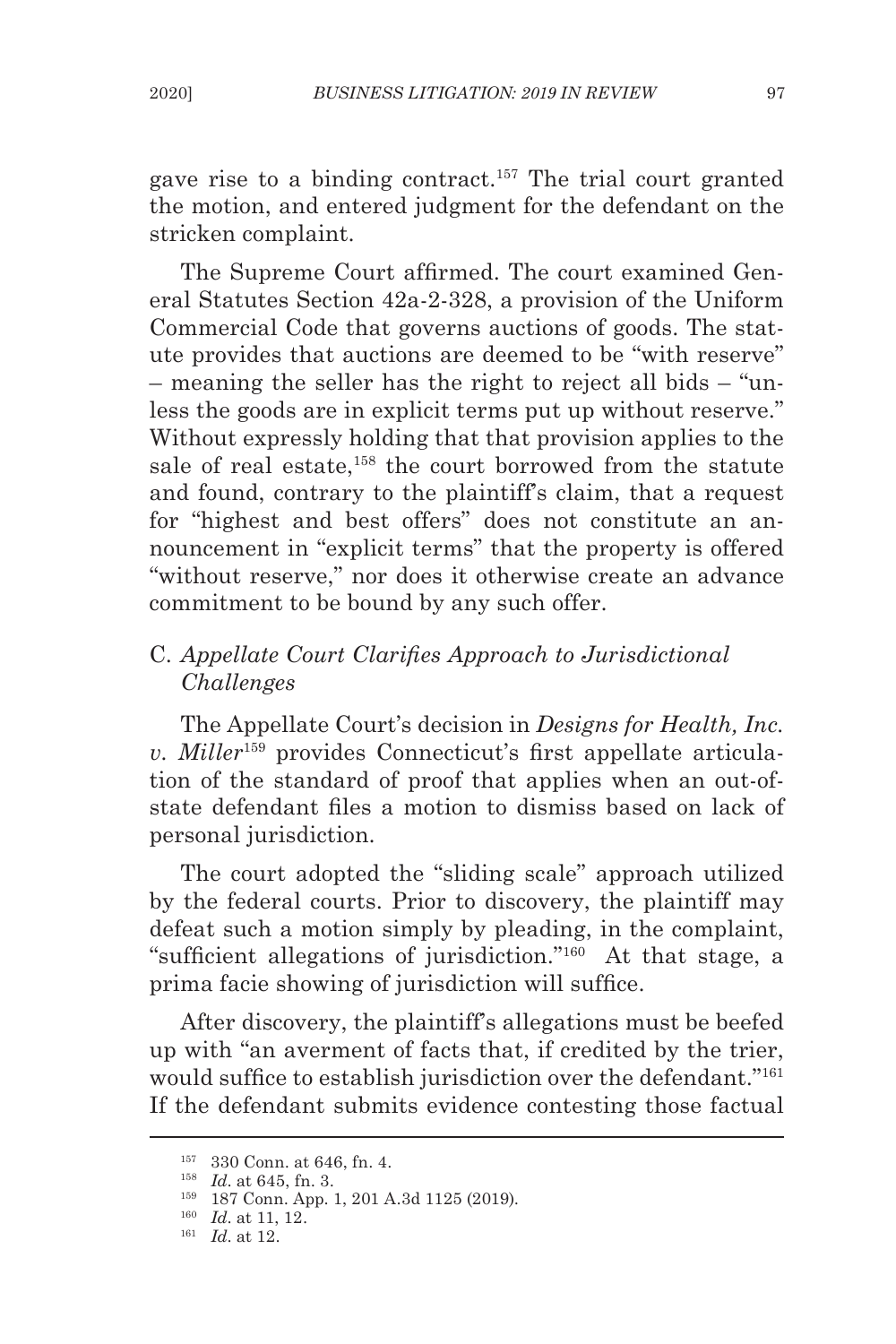gave rise to a binding contract.157 The trial court granted the motion, and entered judgment for the defendant on the stricken complaint.

The Supreme Court affirmed. The court examined General Statutes Section 42a-2-328, a provision of the Uniform Commercial Code that governs auctions of goods. The statute provides that auctions are deemed to be "with reserve" – meaning the seller has the right to reject all bids – "unless the goods are in explicit terms put up without reserve." Without expressly holding that that provision applies to the sale of real estate,<sup>158</sup> the court borrowed from the statute and found, contrary to the plaintiff's claim, that a request for "highest and best offers" does not constitute an announcement in "explicit terms" that the property is offered "without reserve," nor does it otherwise create an advance commitment to be bound by any such offer.

# C. *Appellate Court Clarifies Approach to Jurisdictional Challenges*

The Appellate Court's decision in *Designs for Health, Inc. v. Miller*159 provides Connecticut's first appellate articulation of the standard of proof that applies when an out-ofstate defendant files a motion to dismiss based on lack of personal jurisdiction.

The court adopted the "sliding scale" approach utilized by the federal courts. Prior to discovery, the plaintiff may defeat such a motion simply by pleading, in the complaint, "sufficient allegations of jurisdiction."160 At that stage, a prima facie showing of jurisdiction will suffice.

After discovery, the plaintiff's allegations must be beefed up with "an averment of facts that, if credited by the trier, would suffice to establish jurisdiction over the defendant."161 If the defendant submits evidence contesting those factual

<sup>157</sup> 330 Conn. at 646, fn. 4.

<sup>158</sup> *Id*. at 645, fn. 3.

<sup>159</sup> 187 Conn. App. 1, 201 A.3d 1125 (2019).

<sup>160</sup> *Id*. at 11, 12.

<sup>161</sup> *Id*. at 12.